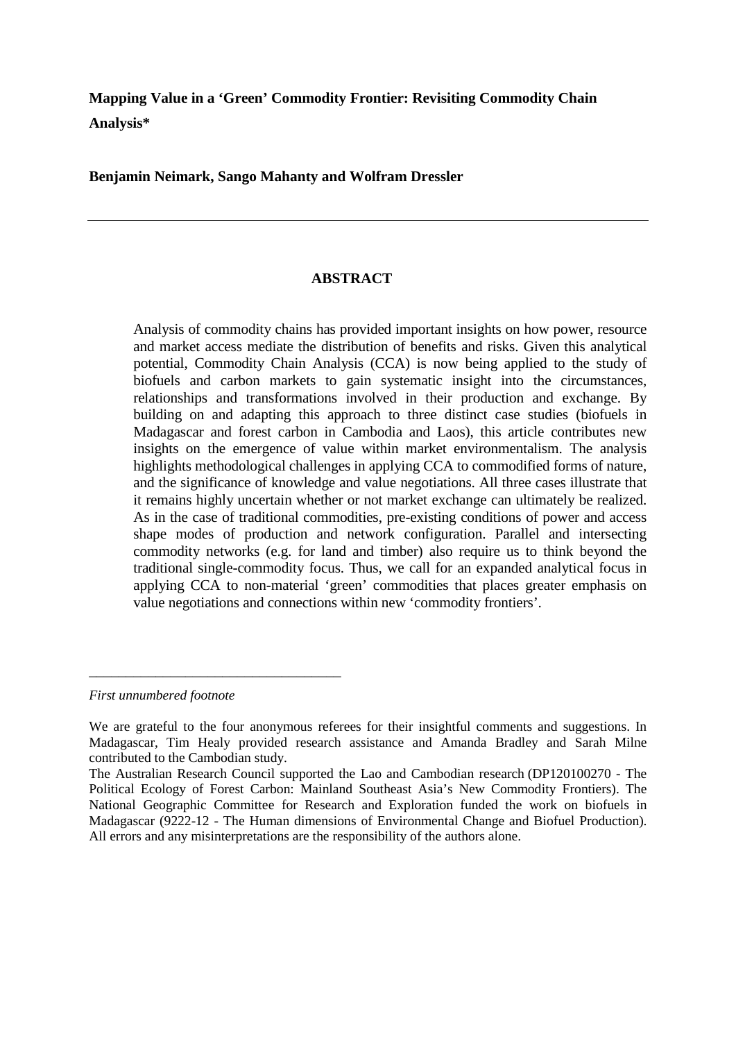# **Mapping Value in a 'Green' Commodity Frontier: Revisiting Commodity Chain Analysis\***

# **Benjamin Neimark, Sango Mahanty and Wolfram Dressler**

## **ABSTRACT**

Analysis of commodity chains has provided important insights on how power, resource and market access mediate the distribution of benefits and risks. Given this analytical potential, Commodity Chain Analysis (CCA) is now being applied to the study of biofuels and carbon markets to gain systematic insight into the circumstances, relationships and transformations involved in their production and exchange. By building on and adapting this approach to three distinct case studies (biofuels in Madagascar and forest carbon in Cambodia and Laos), this article contributes new insights on the emergence of value within market environmentalism. The analysis highlights methodological challenges in applying CCA to commodified forms of nature, and the significance of knowledge and value negotiations. All three cases illustrate that it remains highly uncertain whether or not market exchange can ultimately be realized. As in the case of traditional commodities, pre-existing conditions of power and access shape modes of production and network configuration. Parallel and intersecting commodity networks (e.g. for land and timber) also require us to think beyond the traditional single-commodity focus. Thus, we call for an expanded analytical focus in applying CCA to non-material 'green' commodities that places greater emphasis on value negotiations and connections within new 'commodity frontiers'.

*First unnumbered footnote*

\_\_\_\_\_\_\_\_\_\_\_\_\_\_\_\_\_\_\_\_\_\_\_\_\_\_\_\_\_\_\_\_\_\_

We are grateful to the four anonymous referees for their insightful comments and suggestions. In Madagascar, Tim Healy provided research assistance and Amanda Bradley and Sarah Milne contributed to the Cambodian study.

The Australian Research Council supported the Lao and Cambodian research (DP120100270 - The Political Ecology of Forest Carbon: Mainland Southeast Asia's New Commodity Frontiers). The National Geographic Committee for Research and Exploration funded the work on biofuels in Madagascar (9222-12 - The Human dimensions of Environmental Change and Biofuel Production). All errors and any misinterpretations are the responsibility of the authors alone.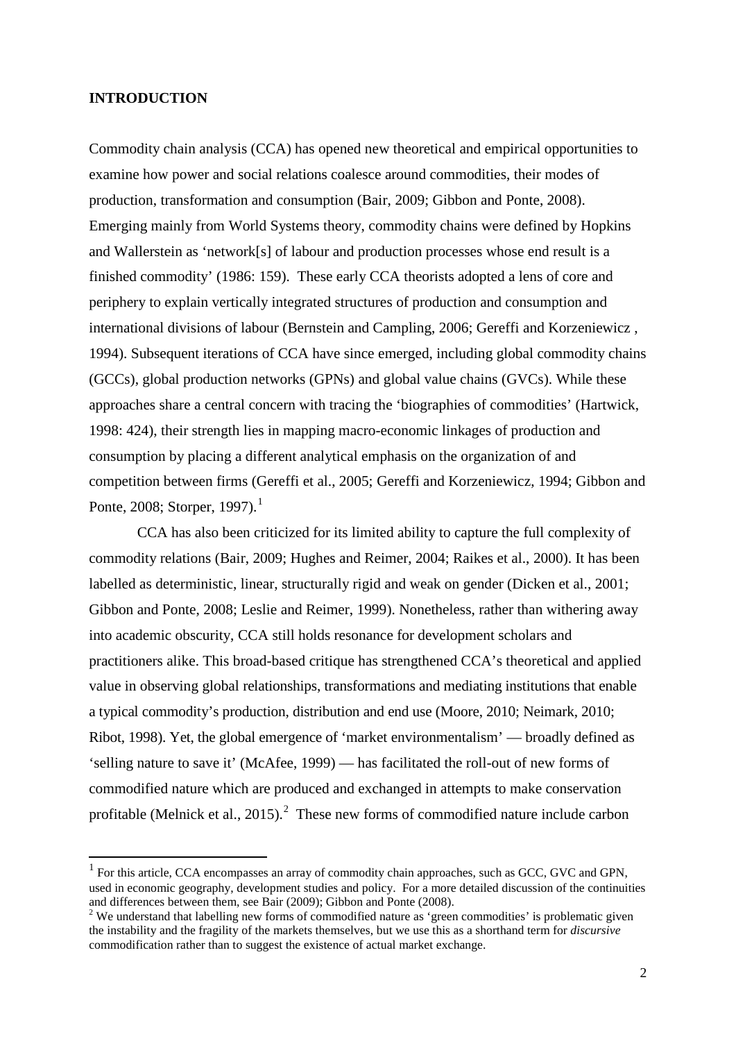### **INTRODUCTION**

Commodity chain analysis (CCA) has opened new theoretical and empirical opportunities to examine how power and social relations coalesce around commodities, their modes of production, transformation and consumption (Bair, 2009; Gibbon and Ponte, 2008). Emerging mainly from World Systems theory, commodity chains were defined by Hopkins and Wallerstein as 'network[s] of labour and production processes whose end result is a finished commodity' (1986: 159). These early CCA theorists adopted a lens of core and periphery to explain vertically integrated structures of production and consumption and international divisions of labour (Bernstein and Campling, 2006; Gereffi and Korzeniewicz , 1994). Subsequent iterations of CCA have since emerged, including global commodity chains (GCCs), global production networks (GPNs) and global value chains (GVCs). While these approaches share a central concern with tracing the 'biographies of commodities' (Hartwick, 1998: 424), their strength lies in mapping macro-economic linkages of production and consumption by placing a different analytical emphasis on the organization of and competition between firms (Gereffi et al., 2005; Gereffi and Korzeniewicz, 1994; Gibbon and Ponte, 2008; Storper, [1](#page-1-0)997).<sup>1</sup>

CCA has also been criticized for its limited ability to capture the full complexity of commodity relations (Bair, 2009; Hughes and Reimer, 2004; Raikes et al., 2000). It has been labelled as deterministic, linear, structurally rigid and weak on gender (Dicken et al., 2001; Gibbon and Ponte, 2008; Leslie and Reimer, 1999). Nonetheless, rather than withering away into academic obscurity, CCA still holds resonance for development scholars and practitioners alike. This broad-based critique has strengthened CCA's theoretical and applied value in observing global relationships, transformations and mediating institutions that enable a typical commodity's production, distribution and end use (Moore, 2010; Neimark, 2010; Ribot, 1998). Yet, the global emergence of 'market environmentalism' — broadly defined as 'selling nature to save it' (McAfee, 1999) — has facilitated the roll-out of new forms of commodified nature which are produced and exchanged in attempts to make conservation profitable (Melnick et al., [2](#page-1-1)015).<sup>2</sup> These new forms of commodified nature include carbon

<span id="page-1-0"></span> $<sup>1</sup>$  For this article, CCA encompasses an array of commodity chain approaches, such as GCC, GVC and GPN,</sup> used in economic geography, development studies and policy. For a more detailed discussion of the continuities and differences between them, see Bair (2009); Gibbon and Ponte (2008).

<span id="page-1-1"></span><sup>&</sup>lt;sup>2</sup> We understand that labelling new forms of commodified nature as 'green commodities' is problematic given the instability and the fragility of the markets themselves, but we use this as a shorthand term for *discursive*  commodification rather than to suggest the existence of actual market exchange.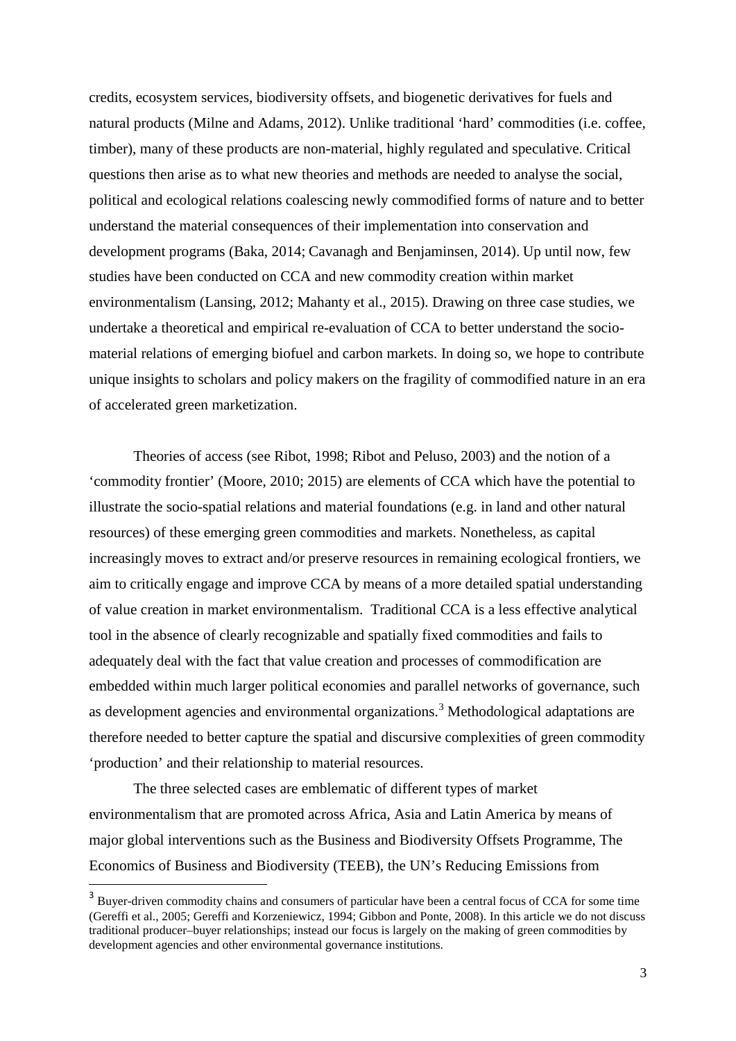credits, ecosystem services, biodiversity offsets, and biogenetic derivatives for fuels and natural products (Milne and Adams, 2012). Unlike traditional 'hard' commodities (i.e. coffee, timber), many of these products are non-material, highly regulated and speculative. Critical questions then arise as to what new theories and methods are needed to analyse the social, political and ecological relations coalescing newly commodified forms of nature and to better understand the material consequences of their implementation into conservation and development programs (Baka, 2014; Cavanagh and Benjaminsen, 2014). Up until now, few studies have been conducted on CCA and new commodity creation within market environmentalism (Lansing, 2012; Mahanty et al., 2015). Drawing on three case studies, we undertake a theoretical and empirical re-evaluation of CCA to better understand the sociomaterial relations of emerging biofuel and carbon markets. In doing so, we hope to contribute unique insights to scholars and policy makers on the fragility of commodified nature in an era of accelerated green marketization.

Theories of access (see Ribot, 1998; Ribot and Peluso, 2003) and the notion of a 'commodity frontier' (Moore, 2010; 2015) are elements of CCA which have the potential to illustrate the socio-spatial relations and material foundations (e.g. in land and other natural resources) of these emerging green commodities and markets. Nonetheless, as capital increasingly moves to extract and/or preserve resources in remaining ecological frontiers, we aim to critically engage and improve CCA by means of a more detailed spatial understanding of value creation in market environmentalism. Traditional CCA is a less effective analytical tool in the absence of clearly recognizable and spatially fixed commodities and fails to adequately deal with the fact that value creation and processes of commodification are embedded within much larger political economies and parallel networks of governance, such as development agencies and environmental organizations.<sup>[3](#page-2-0)</sup> Methodological adaptations are therefore needed to better capture the spatial and discursive complexities of green commodity 'production' and their relationship to material resources.

The three selected cases are emblematic of different types of market environmentalism that are promoted across Africa, Asia and Latin America by means of major global interventions such as the Business and Biodiversity Offsets Programme, The Economics of Business and Biodiversity (TEEB), the UN's Reducing Emissions from

<span id="page-2-0"></span><sup>&</sup>lt;sup>3</sup> Buyer-driven commodity chains and consumers of particular have been a central focus of CCA for some time (Gereffi et al., 2005; Gereffi and Korzeniewicz, 1994; Gibbon and Ponte, 2008). In this article we do not discuss traditional producer–buyer relationships; instead our focus is largely on the making of green commodities by development agencies and other environmental governance institutions.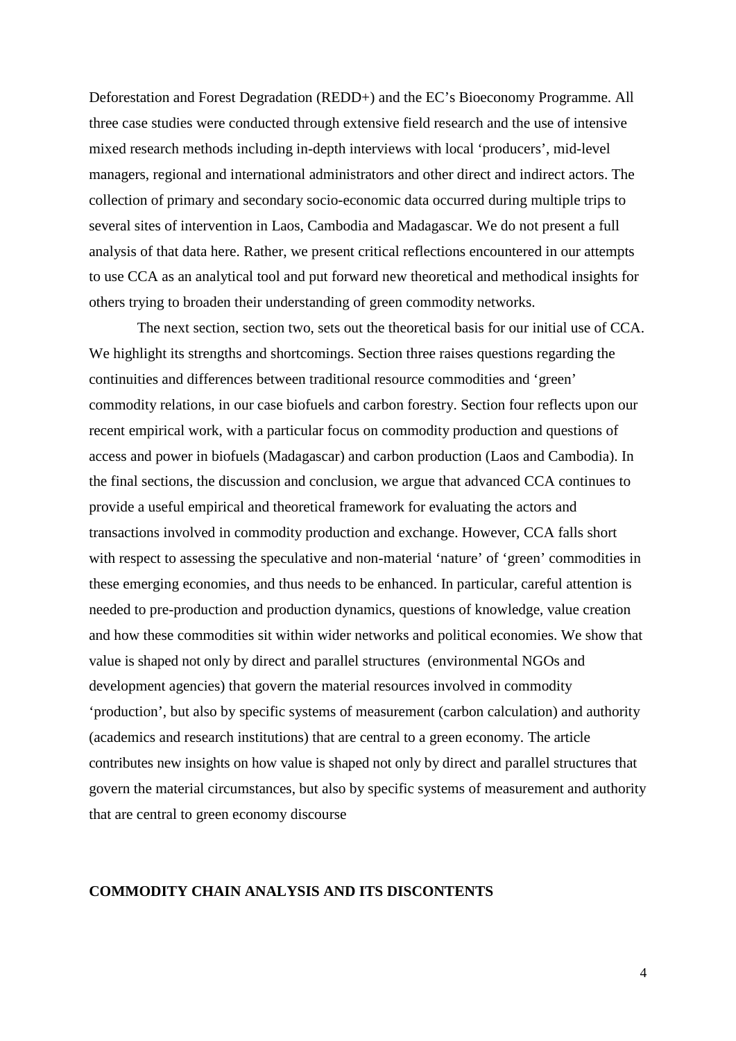Deforestation and Forest Degradation (REDD+) and the EC's Bioeconomy Programme. All three case studies were conducted through extensive field research and the use of intensive mixed research methods including in-depth interviews with local 'producers', mid-level managers, regional and international administrators and other direct and indirect actors. The collection of primary and secondary socio-economic data occurred during multiple trips to several sites of intervention in Laos, Cambodia and Madagascar. We do not present a full analysis of that data here. Rather, we present critical reflections encountered in our attempts to use CCA as an analytical tool and put forward new theoretical and methodical insights for others trying to broaden their understanding of green commodity networks.

The next section, section two, sets out the theoretical basis for our initial use of CCA. We highlight its strengths and shortcomings. Section three raises questions regarding the continuities and differences between traditional resource commodities and 'green' commodity relations, in our case biofuels and carbon forestry. Section four reflects upon our recent empirical work, with a particular focus on commodity production and questions of access and power in biofuels (Madagascar) and carbon production (Laos and Cambodia). In the final sections, the discussion and conclusion, we argue that advanced CCA continues to provide a useful empirical and theoretical framework for evaluating the actors and transactions involved in commodity production and exchange. However, CCA falls short with respect to assessing the speculative and non-material 'nature' of 'green' commodities in these emerging economies, and thus needs to be enhanced. In particular, careful attention is needed to pre-production and production dynamics, questions of knowledge, value creation and how these commodities sit within wider networks and political economies. We show that value is shaped not only by direct and parallel structures (environmental NGOs and development agencies) that govern the material resources involved in commodity 'production', but also by specific systems of measurement (carbon calculation) and authority (academics and research institutions) that are central to a green economy. The article contributes new insights on how value is shaped not only by direct and parallel structures that govern the material circumstances, but also by specific systems of measurement and authority that are central to green economy discourse

## **COMMODITY CHAIN ANALYSIS AND ITS DISCONTENTS**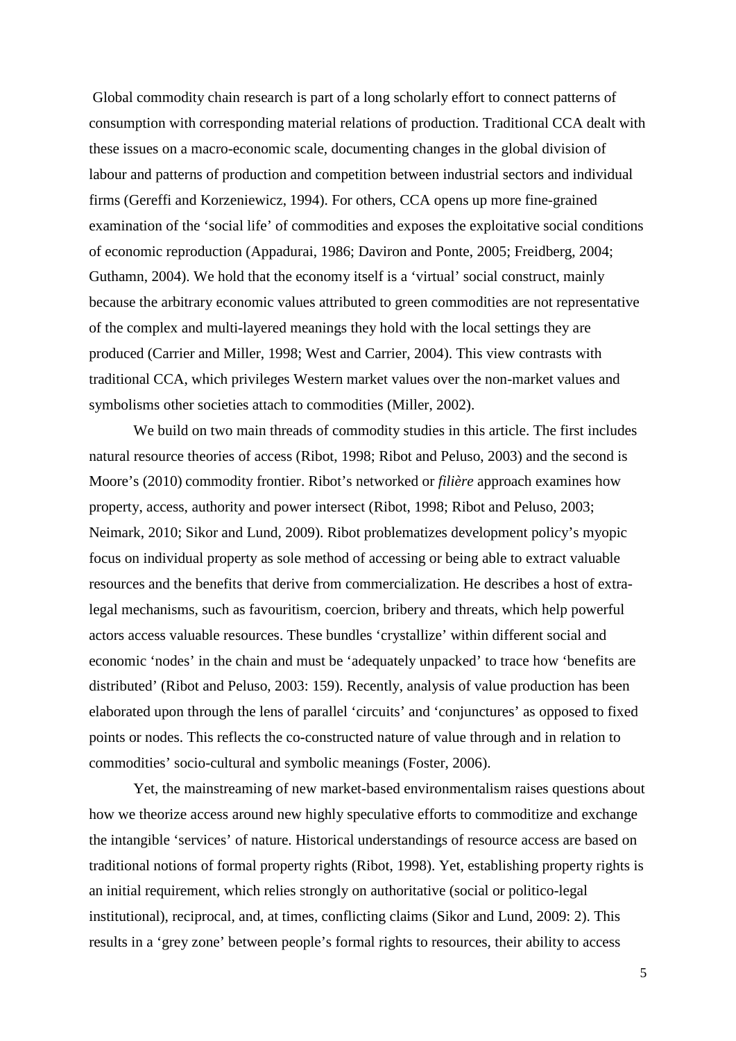Global commodity chain research is part of a long scholarly effort to connect patterns of consumption with corresponding material relations of production. Traditional CCA dealt with these issues on a macro-economic scale, documenting changes in the global division of labour and patterns of production and competition between industrial sectors and individual firms (Gereffi and Korzeniewicz, 1994). For others, CCA opens up more fine-grained examination of the 'social life' of commodities and exposes the exploitative social conditions of economic reproduction (Appadurai, 1986; Daviron and Ponte, 2005; Freidberg, 2004; Guthamn, 2004). We hold that the economy itself is a 'virtual' social construct, mainly because the arbitrary economic values attributed to green commodities are not representative of the complex and multi-layered meanings they hold with the local settings they are produced (Carrier and Miller, 1998; West and Carrier, 2004). This view contrasts with traditional CCA, which privileges Western market values over the non-market values and symbolisms other societies attach to commodities (Miller, 2002).

We build on two main threads of commodity studies in this article. The first includes natural resource theories of access (Ribot, 1998; Ribot and Peluso, 2003) and the second is Moore's (2010) commodity frontier. Ribot's networked or *filière* approach examines how property, access, authority and power intersect (Ribot, 1998; Ribot and Peluso, 2003; Neimark, 2010; Sikor and Lund, 2009). Ribot problematizes development policy's myopic focus on individual property as sole method of accessing or being able to extract valuable resources and the benefits that derive from commercialization. He describes a host of extralegal mechanisms, such as favouritism, coercion, bribery and threats, which help powerful actors access valuable resources. These bundles 'crystallize' within different social and economic 'nodes' in the chain and must be 'adequately unpacked' to trace how 'benefits are distributed' (Ribot and Peluso, 2003: 159). Recently, analysis of value production has been elaborated upon through the lens of parallel 'circuits' and 'conjunctures' as opposed to fixed points or nodes. This reflects the co-constructed nature of value through and in relation to commodities' socio-cultural and symbolic meanings (Foster, 2006).

Yet, the mainstreaming of new market-based environmentalism raises questions about how we theorize access around new highly speculative efforts to commoditize and exchange the intangible 'services' of nature. Historical understandings of resource access are based on traditional notions of formal property rights (Ribot, 1998). Yet, establishing property rights is an initial requirement, which relies strongly on authoritative (social or politico-legal institutional), reciprocal, and, at times, conflicting claims (Sikor and Lund, 2009: 2). This results in a 'grey zone' between people's formal rights to resources, their ability to access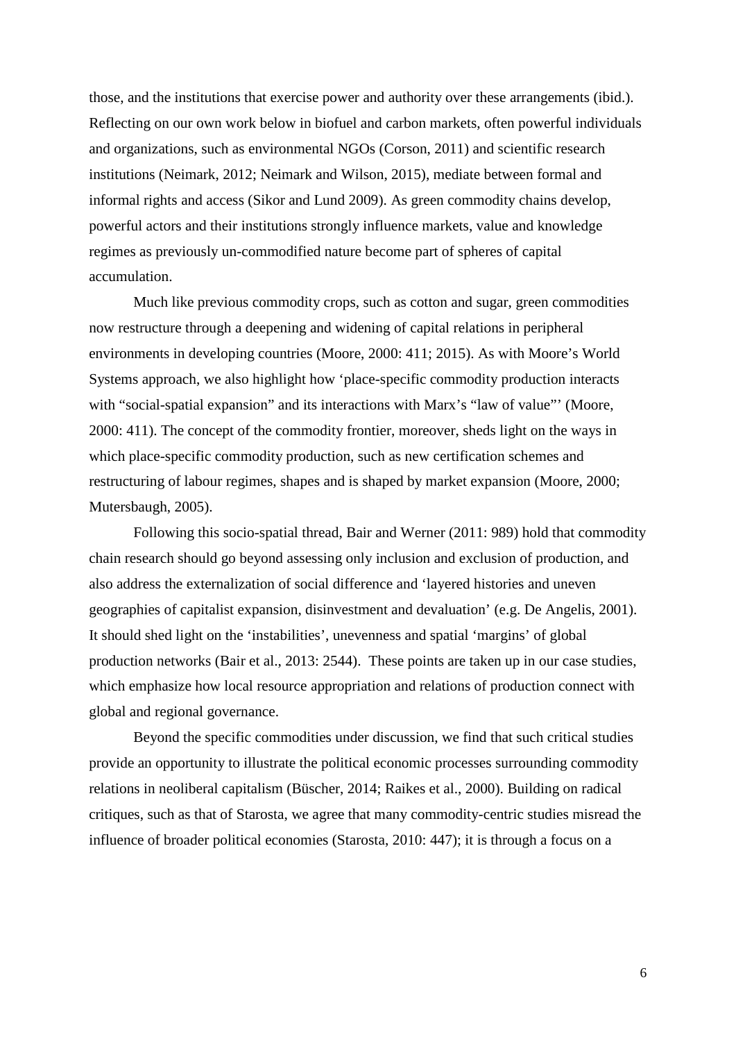those, and the institutions that exercise power and authority over these arrangements (ibid.). Reflecting on our own work below in biofuel and carbon markets, often powerful individuals and organizations, such as environmental NGOs (Corson, 2011) and scientific research institutions (Neimark, 2012; Neimark and Wilson, 2015), mediate between formal and informal rights and access (Sikor and Lund 2009). As green commodity chains develop, powerful actors and their institutions strongly influence markets, value and knowledge regimes as previously un-commodified nature become part of spheres of capital accumulation.

Much like previous commodity crops, such as cotton and sugar, green commodities now restructure through a deepening and widening of capital relations in peripheral environments in developing countries (Moore, 2000: 411; 2015). As with Moore's World Systems approach, we also highlight how 'place-specific commodity production interacts with "social-spatial expansion" and its interactions with Marx's "law of value"' (Moore, 2000: 411). The concept of the commodity frontier, moreover, sheds light on the ways in which place-specific commodity production, such as new certification schemes and restructuring of labour regimes, shapes and is shaped by market expansion (Moore, 2000; Mutersbaugh, 2005).

Following this socio-spatial thread, Bair and Werner (2011: 989) hold that commodity chain research should go beyond assessing only inclusion and exclusion of production, and also address the externalization of social difference and 'layered histories and uneven geographies of capitalist expansion, disinvestment and devaluation' (e.g. De Angelis, 2001). It should shed light on the 'instabilities', unevenness and spatial 'margins' of global production networks (Bair et al., 2013: 2544). These points are taken up in our case studies, which emphasize how local resource appropriation and relations of production connect with global and regional governance.

Beyond the specific commodities under discussion, we find that such critical studies provide an opportunity to illustrate the political economic processes surrounding commodity relations in neoliberal capitalism (Büscher, 2014; Raikes et al., 2000). Building on radical critiques, such as that of Starosta, we agree that many commodity-centric studies misread the influence of broader political economies (Starosta, 2010: 447); it is through a focus on a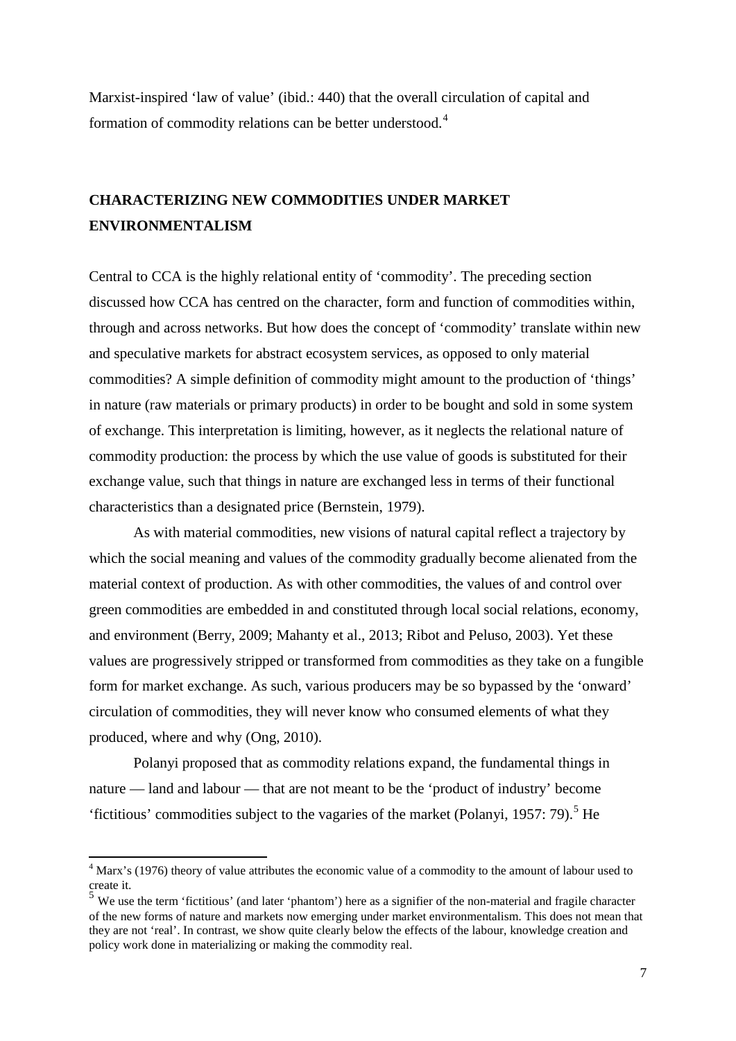Marxist-inspired 'law of value' (ibid.: 440) that the overall circulation of capital and formation of commodity relations can be better understood.[4](#page-6-0)

# **CHARACTERIZING NEW COMMODITIES UNDER MARKET ENVIRONMENTALISM**

Central to CCA is the highly relational entity of 'commodity'. The preceding section discussed how CCA has centred on the character, form and function of commodities within, through and across networks. But how does the concept of 'commodity' translate within new and speculative markets for abstract ecosystem services, as opposed to only material commodities? A simple definition of commodity might amount to the production of 'things' in nature (raw materials or primary products) in order to be bought and sold in some system of exchange. This interpretation is limiting, however, as it neglects the relational nature of commodity production: the process by which the use value of goods is substituted for their exchange value, such that things in nature are exchanged less in terms of their functional characteristics than a designated price (Bernstein, 1979).

As with material commodities, new visions of natural capital reflect a trajectory by which the social meaning and values of the commodity gradually become alienated from the material context of production. As with other commodities, the values of and control over green commodities are embedded in and constituted through local social relations, economy, and environment (Berry, 2009; Mahanty et al., 2013; Ribot and Peluso, 2003). Yet these values are progressively stripped or transformed from commodities as they take on a fungible form for market exchange. As such, various producers may be so bypassed by the 'onward' circulation of commodities, they will never know who consumed elements of what they produced, where and why (Ong, 2010).

Polanyi proposed that as commodity relations expand, the fundamental things in nature — land and labour — that are not meant to be the 'product of industry' become 'fictitious' commodities subject to the vagaries of the market (Polanyi, 19[5](#page-6-1)7: 79).<sup>5</sup> He

<span id="page-6-0"></span><sup>&</sup>lt;sup>4</sup> Marx's (1976) theory of value attributes the economic value of a commodity to the amount of labour used to create it.

<span id="page-6-1"></span> $<sup>5</sup>$  We use the term 'fictitious' (and later 'phantom') here as a signifier of the non-material and fragile character</sup> of the new forms of nature and markets now emerging under market environmentalism. This does not mean that they are not 'real'. In contrast, we show quite clearly below the effects of the labour, knowledge creation and policy work done in materializing or making the commodity real.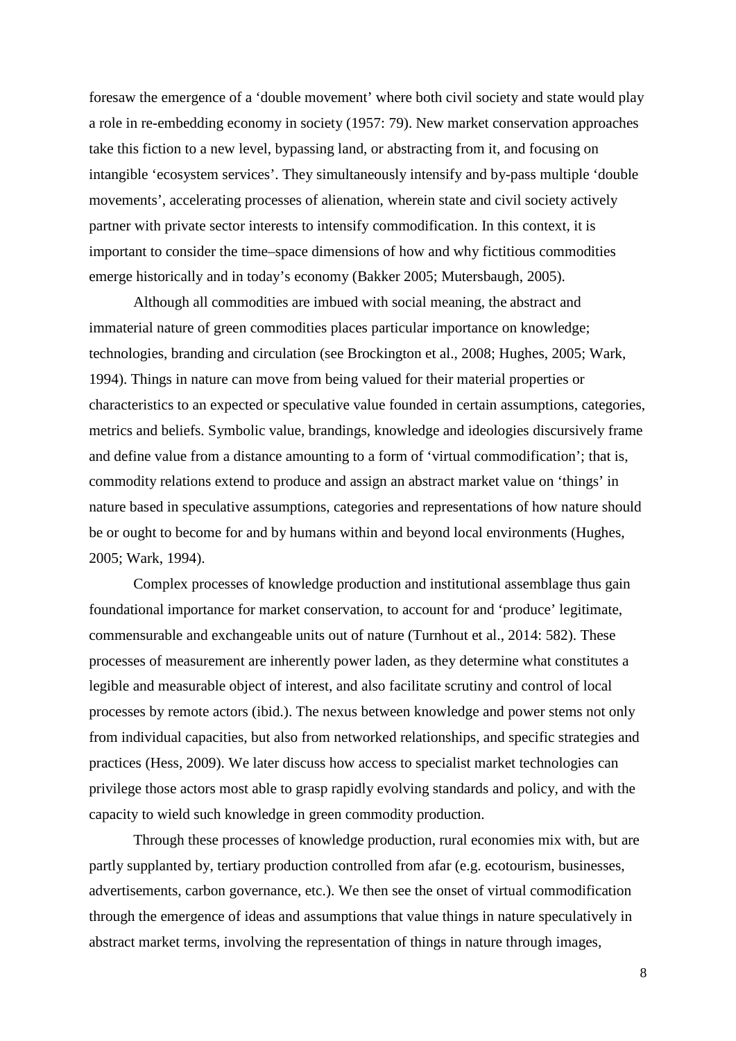foresaw the emergence of a 'double movement' where both civil society and state would play a role in re-embedding economy in society (1957: 79). New market conservation approaches take this fiction to a new level, bypassing land, or abstracting from it, and focusing on intangible 'ecosystem services'. They simultaneously intensify and by-pass multiple 'double movements', accelerating processes of alienation, wherein state and civil society actively partner with private sector interests to intensify commodification. In this context, it is important to consider the time–space dimensions of how and why fictitious commodities emerge historically and in today's economy (Bakker 2005; Mutersbaugh, 2005).

Although all commodities are imbued with social meaning, the abstract and immaterial nature of green commodities places particular importance on knowledge; technologies, branding and circulation (see Brockington et al., 2008; Hughes, 2005; Wark, 1994). Things in nature can move from being valued for their material properties or characteristics to an expected or speculative value founded in certain assumptions, categories, metrics and beliefs. Symbolic value, brandings, knowledge and ideologies discursively frame and define value from a distance amounting to a form of 'virtual commodification'; that is, commodity relations extend to produce and assign an abstract market value on 'things' in nature based in speculative assumptions, categories and representations of how nature should be or ought to become for and by humans within and beyond local environments (Hughes, 2005; Wark, 1994).

Complex processes of knowledge production and institutional assemblage thus gain foundational importance for market conservation, to account for and 'produce' legitimate, commensurable and exchangeable units out of nature (Turnhout et al., 2014: 582). These processes of measurement are inherently power laden, as they determine what constitutes a legible and measurable object of interest, and also facilitate scrutiny and control of local processes by remote actors (ibid.). The nexus between knowledge and power stems not only from individual capacities, but also from networked relationships, and specific strategies and practices (Hess, 2009). We later discuss how access to specialist market technologies can privilege those actors most able to grasp rapidly evolving standards and policy, and with the capacity to wield such knowledge in green commodity production.

Through these processes of knowledge production, rural economies mix with, but are partly supplanted by, tertiary production controlled from afar (e.g. ecotourism, businesses, advertisements, carbon governance, etc.). We then see the onset of virtual commodification through the emergence of ideas and assumptions that value things in nature speculatively in abstract market terms, involving the representation of things in nature through images,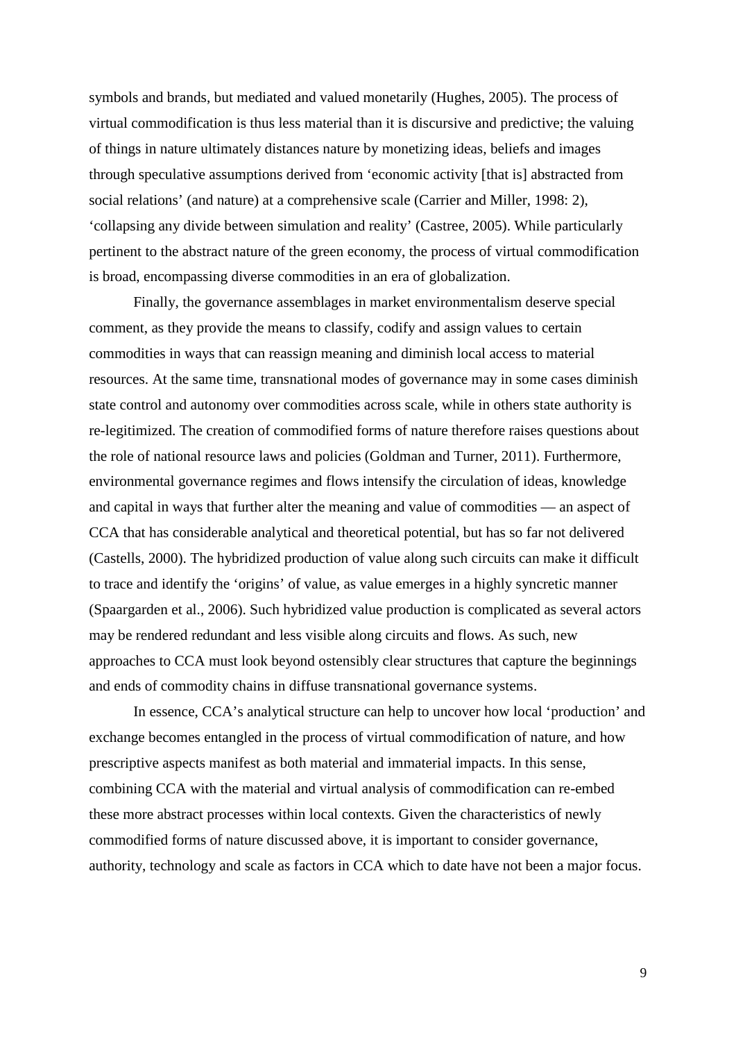symbols and brands, but mediated and valued monetarily (Hughes, 2005). The process of virtual commodification is thus less material than it is discursive and predictive; the valuing of things in nature ultimately distances nature by monetizing ideas, beliefs and images through speculative assumptions derived from 'economic activity [that is] abstracted from social relations' (and nature) at a comprehensive scale (Carrier and Miller, 1998: 2), 'collapsing any divide between simulation and reality' (Castree, 2005). While particularly pertinent to the abstract nature of the green economy, the process of virtual commodification is broad, encompassing diverse commodities in an era of globalization.

Finally, the governance assemblages in market environmentalism deserve special comment, as they provide the means to classify, codify and assign values to certain commodities in ways that can reassign meaning and diminish local access to material resources. At the same time, transnational modes of governance may in some cases diminish state control and autonomy over commodities across scale, while in others state authority is re-legitimized. The creation of commodified forms of nature therefore raises questions about the role of national resource laws and policies (Goldman and Turner, 2011). Furthermore, environmental governance regimes and flows intensify the circulation of ideas, knowledge and capital in ways that further alter the meaning and value of commodities — an aspect of CCA that has considerable analytical and theoretical potential, but has so far not delivered (Castells, 2000). The hybridized production of value along such circuits can make it difficult to trace and identify the 'origins' of value, as value emerges in a highly syncretic manner (Spaargarden et al., 2006). Such hybridized value production is complicated as several actors may be rendered redundant and less visible along circuits and flows. As such, new approaches to CCA must look beyond ostensibly clear structures that capture the beginnings and ends of commodity chains in diffuse transnational governance systems.

In essence, CCA's analytical structure can help to uncover how local 'production' and exchange becomes entangled in the process of virtual commodification of nature, and how prescriptive aspects manifest as both material and immaterial impacts. In this sense, combining CCA with the material and virtual analysis of commodification can re-embed these more abstract processes within local contexts. Given the characteristics of newly commodified forms of nature discussed above, it is important to consider governance, authority, technology and scale as factors in CCA which to date have not been a major focus.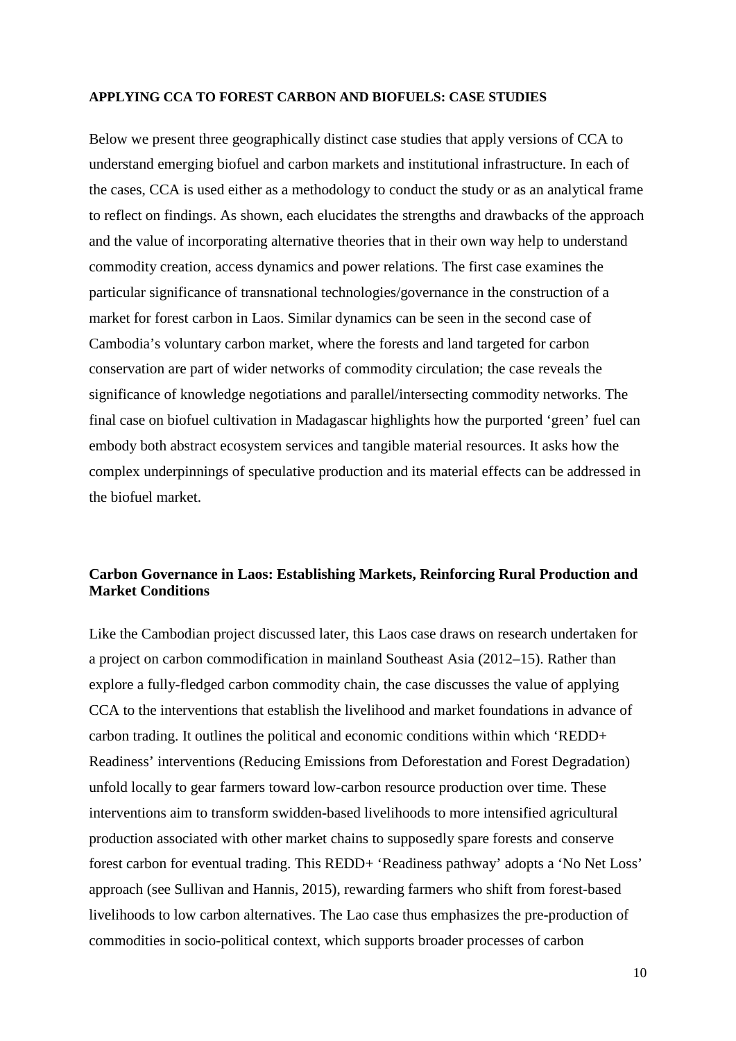### **APPLYING CCA TO FOREST CARBON AND BIOFUELS: CASE STUDIES**

Below we present three geographically distinct case studies that apply versions of CCA to understand emerging biofuel and carbon markets and institutional infrastructure. In each of the cases, CCA is used either as a methodology to conduct the study or as an analytical frame to reflect on findings. As shown, each elucidates the strengths and drawbacks of the approach and the value of incorporating alternative theories that in their own way help to understand commodity creation, access dynamics and power relations. The first case examines the particular significance of transnational technologies/governance in the construction of a market for forest carbon in Laos. Similar dynamics can be seen in the second case of Cambodia's voluntary carbon market, where the forests and land targeted for carbon conservation are part of wider networks of commodity circulation; the case reveals the significance of knowledge negotiations and parallel/intersecting commodity networks. The final case on biofuel cultivation in Madagascar highlights how the purported 'green' fuel can embody both abstract ecosystem services and tangible material resources. It asks how the complex underpinnings of speculative production and its material effects can be addressed in the biofuel market.

# **Carbon Governance in Laos: Establishing Markets, Reinforcing Rural Production and Market Conditions**

Like the Cambodian project discussed later, this Laos case draws on research undertaken for a project on carbon commodification in mainland Southeast Asia (2012–15). Rather than explore a fully-fledged carbon commodity chain, the case discusses the value of applying CCA to the interventions that establish the livelihood and market foundations in advance of carbon trading. It outlines the political and economic conditions within which 'REDD+ Readiness' interventions (Reducing Emissions from Deforestation and Forest Degradation) unfold locally to gear farmers toward low-carbon resource production over time. These interventions aim to transform swidden-based livelihoods to more intensified agricultural production associated with other market chains to supposedly spare forests and conserve forest carbon for eventual trading. This REDD+ 'Readiness pathway' adopts a 'No Net Loss' approach (see Sullivan and Hannis, 2015), rewarding farmers who shift from forest-based livelihoods to low carbon alternatives. The Lao case thus emphasizes the pre-production of commodities in socio-political context, which supports broader processes of carbon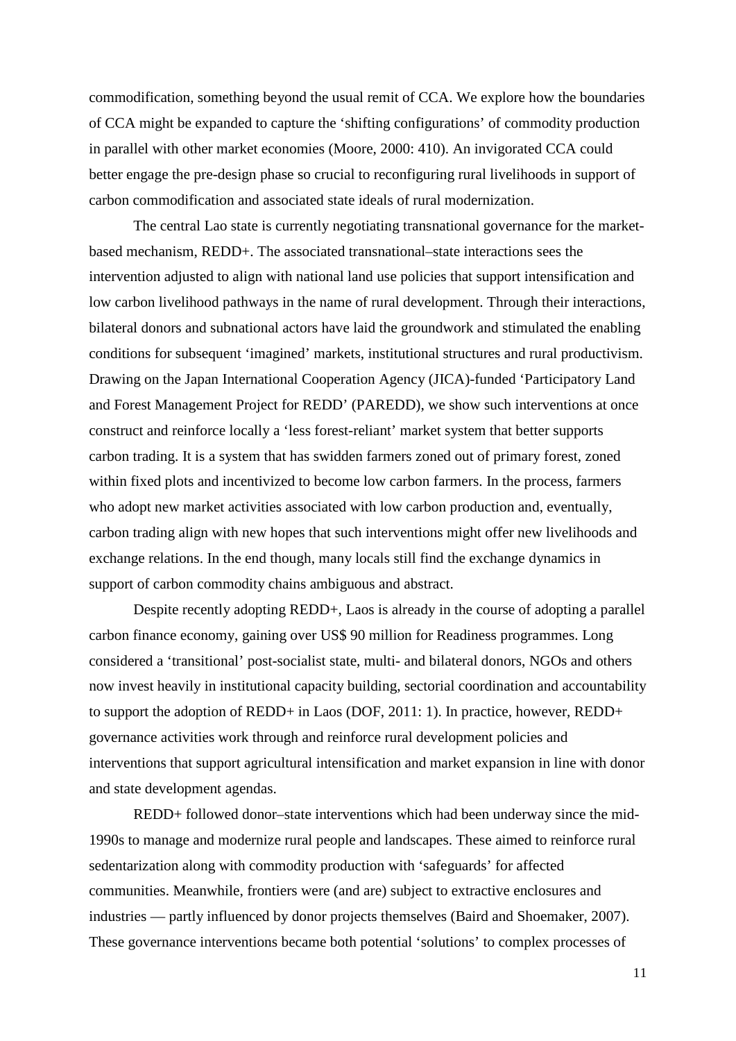commodification, something beyond the usual remit of CCA. We explore how the boundaries of CCA might be expanded to capture the 'shifting configurations' of commodity production in parallel with other market economies (Moore, 2000: 410). An invigorated CCA could better engage the pre-design phase so crucial to reconfiguring rural livelihoods in support of carbon commodification and associated state ideals of rural modernization.

The central Lao state is currently negotiating transnational governance for the marketbased mechanism, REDD+. The associated transnational–state interactions sees the intervention adjusted to align with national land use policies that support intensification and low carbon livelihood pathways in the name of rural development. Through their interactions, bilateral donors and subnational actors have laid the groundwork and stimulated the enabling conditions for subsequent 'imagined' markets, institutional structures and rural productivism. Drawing on the Japan International Cooperation Agency (JICA)-funded 'Participatory Land and Forest Management Project for REDD' (PAREDD), we show such interventions at once construct and reinforce locally a 'less forest-reliant' market system that better supports carbon trading. It is a system that has swidden farmers zoned out of primary forest, zoned within fixed plots and incentivized to become low carbon farmers. In the process, farmers who adopt new market activities associated with low carbon production and, eventually, carbon trading align with new hopes that such interventions might offer new livelihoods and exchange relations. In the end though, many locals still find the exchange dynamics in support of carbon commodity chains ambiguous and abstract.

Despite recently adopting REDD+, Laos is already in the course of adopting a parallel carbon finance economy, gaining over US\$ 90 million for Readiness programmes. Long considered a 'transitional' post-socialist state, multi- and bilateral donors, NGOs and others now invest heavily in institutional capacity building, sectorial coordination and accountability to support the adoption of REDD+ in Laos (DOF, 2011: 1). In practice, however, REDD+ governance activities work through and reinforce rural development policies and interventions that support agricultural intensification and market expansion in line with donor and state development agendas.

REDD+ followed donor–state interventions which had been underway since the mid-1990s to manage and modernize rural people and landscapes. These aimed to reinforce rural sedentarization along with commodity production with 'safeguards' for affected communities. Meanwhile, frontiers were (and are) subject to extractive enclosures and industries — partly influenced by donor projects themselves (Baird and Shoemaker, 2007). These governance interventions became both potential 'solutions' to complex processes of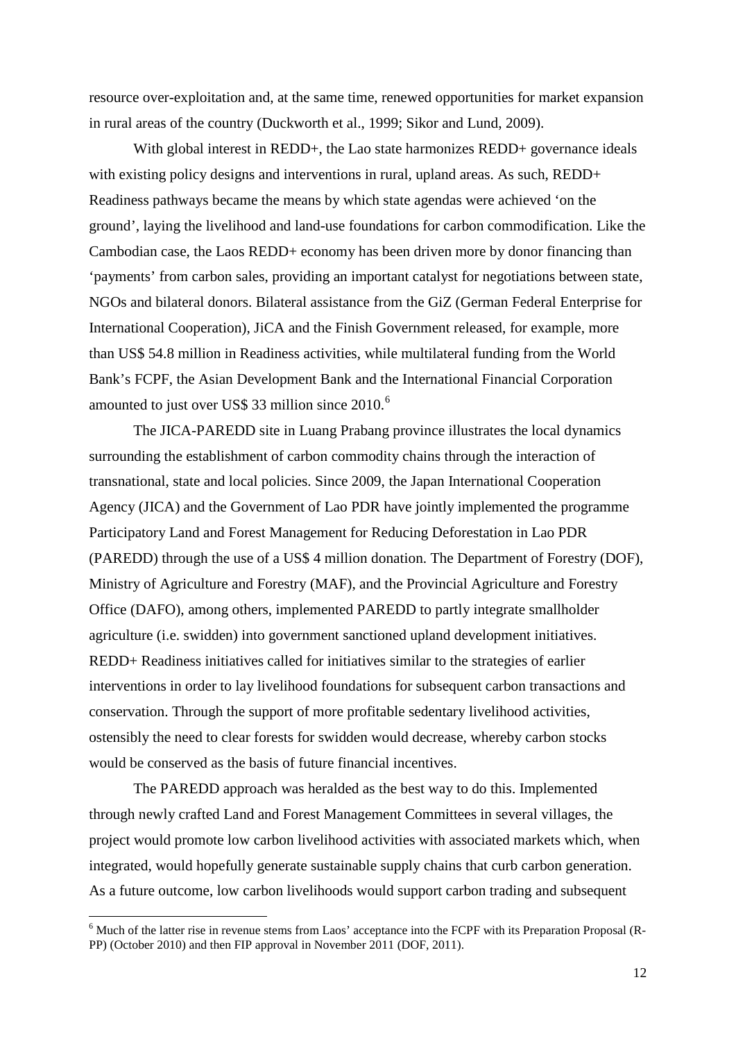resource over-exploitation and, at the same time, renewed opportunities for market expansion in rural areas of the country (Duckworth et al., 1999; Sikor and Lund, 2009).

With global interest in REDD+, the Lao state harmonizes REDD+ governance ideals with existing policy designs and interventions in rural, upland areas. As such, REDD+ Readiness pathways became the means by which state agendas were achieved 'on the ground', laying the livelihood and land-use foundations for carbon commodification. Like the Cambodian case, the Laos REDD+ economy has been driven more by donor financing than 'payments' from carbon sales, providing an important catalyst for negotiations between state, NGOs and bilateral donors. Bilateral assistance from the GiZ (German Federal Enterprise for International Cooperation), JiCA and the Finish Government released, for example, more than US\$ 54.8 million in Readiness activities, while multilateral funding from the World Bank's FCPF, the Asian Development Bank and the International Financial Corporation amounted to just over US\$ 33 million since 2010.<sup>[6](#page-11-0)</sup>

The JICA-PAREDD site in Luang Prabang province illustrates the local dynamics surrounding the establishment of carbon commodity chains through the interaction of transnational, state and local policies. Since 2009, the Japan International Cooperation Agency (JICA) and the Government of Lao PDR have jointly implemented the programme Participatory Land and Forest Management for Reducing Deforestation in Lao PDR (PAREDD) through the use of a US\$ 4 million donation. The Department of Forestry (DOF), Ministry of Agriculture and Forestry (MAF), and the Provincial Agriculture and Forestry Office (DAFO), among others, implemented PAREDD to partly integrate smallholder agriculture (i.e. swidden) into government sanctioned upland development initiatives. REDD+ Readiness initiatives called for initiatives similar to the strategies of earlier interventions in order to lay livelihood foundations for subsequent carbon transactions and conservation. Through the support of more profitable sedentary livelihood activities, ostensibly the need to clear forests for swidden would decrease, whereby carbon stocks would be conserved as the basis of future financial incentives.

The PAREDD approach was heralded as the best way to do this. Implemented through newly crafted Land and Forest Management Committees in several villages, the project would promote low carbon livelihood activities with associated markets which, when integrated, would hopefully generate sustainable supply chains that curb carbon generation. As a future outcome, low carbon livelihoods would support carbon trading and subsequent

<span id="page-11-0"></span><sup>&</sup>lt;sup>6</sup> Much of the latter rise in revenue stems from Laos' acceptance into the FCPF with its Preparation Proposal (R-PP) (October 2010) and then FIP approval in November 2011 (DOF, 2011).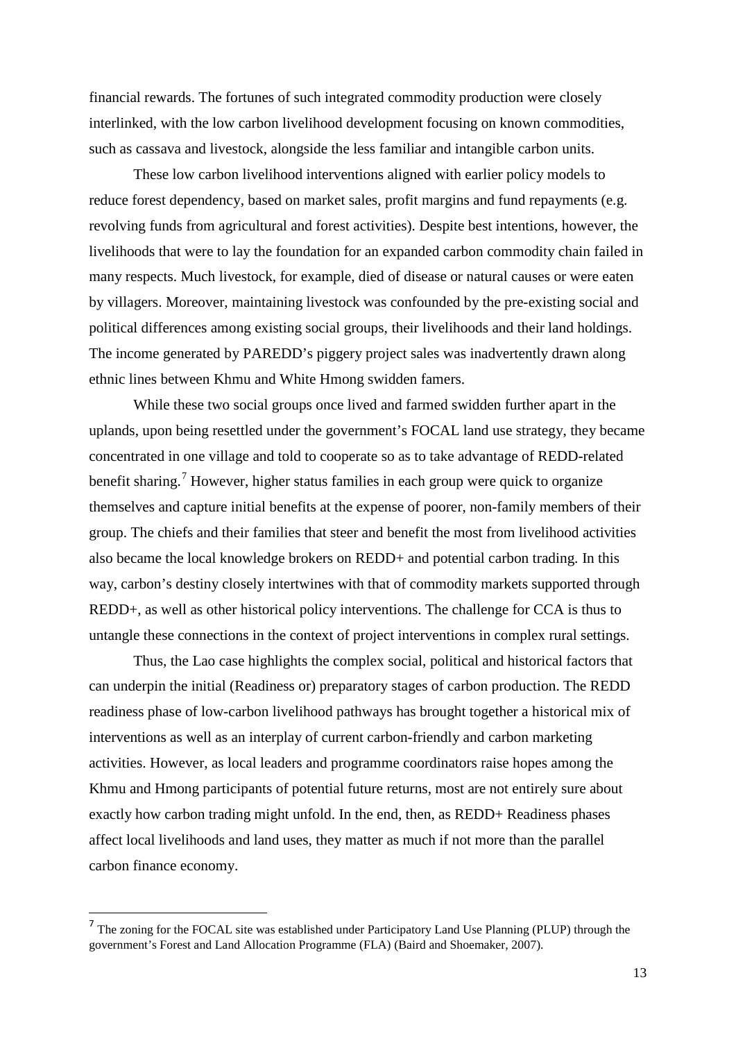financial rewards. The fortunes of such integrated commodity production were closely interlinked, with the low carbon livelihood development focusing on known commodities, such as cassava and livestock, alongside the less familiar and intangible carbon units.

These low carbon livelihood interventions aligned with earlier policy models to reduce forest dependency, based on market sales, profit margins and fund repayments (e.g. revolving funds from agricultural and forest activities). Despite best intentions, however, the livelihoods that were to lay the foundation for an expanded carbon commodity chain failed in many respects. Much livestock, for example, died of disease or natural causes or were eaten by villagers. Moreover, maintaining livestock was confounded by the pre-existing social and political differences among existing social groups, their livelihoods and their land holdings. The income generated by PAREDD's piggery project sales was inadvertently drawn along ethnic lines between Khmu and White Hmong swidden famers.

While these two social groups once lived and farmed swidden further apart in the uplands, upon being resettled under the government's FOCAL land use strategy, they became concentrated in one village and told to cooperate so as to take advantage of REDD-related benefit sharing.<sup>[7](#page-12-0)</sup> However, higher status families in each group were quick to organize themselves and capture initial benefits at the expense of poorer, non-family members of their group. The chiefs and their families that steer and benefit the most from livelihood activities also became the local knowledge brokers on REDD+ and potential carbon trading. In this way, carbon's destiny closely intertwines with that of commodity markets supported through REDD+, as well as other historical policy interventions. The challenge for CCA is thus to untangle these connections in the context of project interventions in complex rural settings.

Thus, the Lao case highlights the complex social, political and historical factors that can underpin the initial (Readiness or) preparatory stages of carbon production. The REDD readiness phase of low-carbon livelihood pathways has brought together a historical mix of interventions as well as an interplay of current carbon-friendly and carbon marketing activities. However, as local leaders and programme coordinators raise hopes among the Khmu and Hmong participants of potential future returns, most are not entirely sure about exactly how carbon trading might unfold. In the end, then, as REDD+ Readiness phases affect local livelihoods and land uses, they matter as much if not more than the parallel carbon finance economy.

<span id="page-12-0"></span><sup>&</sup>lt;sup>7</sup> The zoning for the FOCAL site was established under Participatory Land Use Planning (PLUP) through the government's Forest and Land Allocation Programme (FLA) (Baird and Shoemaker, 2007).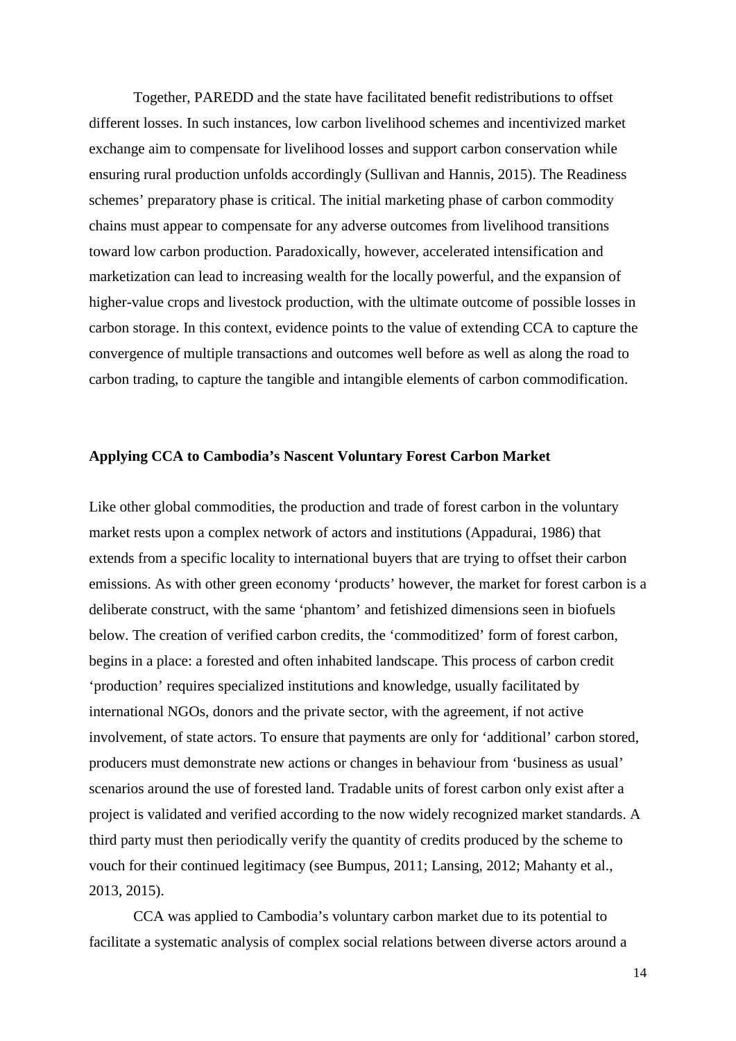Together, PAREDD and the state have facilitated benefit redistributions to offset different losses. In such instances, low carbon livelihood schemes and incentivized market exchange aim to compensate for livelihood losses and support carbon conservation while ensuring rural production unfolds accordingly (Sullivan and Hannis, 2015). The Readiness schemes' preparatory phase is critical. The initial marketing phase of carbon commodity chains must appear to compensate for any adverse outcomes from livelihood transitions toward low carbon production. Paradoxically, however, accelerated intensification and marketization can lead to increasing wealth for the locally powerful, and the expansion of higher-value crops and livestock production, with the ultimate outcome of possible losses in carbon storage. In this context, evidence points to the value of extending CCA to capture the convergence of multiple transactions and outcomes well before as well as along the road to carbon trading, to capture the tangible and intangible elements of carbon commodification.

# **Applying CCA to Cambodia's Nascent Voluntary Forest Carbon Market**

Like other global commodities, the production and trade of forest carbon in the voluntary market rests upon a complex network of actors and institutions (Appadurai, 1986) that extends from a specific locality to international buyers that are trying to offset their carbon emissions. As with other green economy 'products' however, the market for forest carbon is a deliberate construct, with the same 'phantom' and fetishized dimensions seen in biofuels below. The creation of verified carbon credits, the 'commoditized' form of forest carbon, begins in a place: a forested and often inhabited landscape. This process of carbon credit 'production' requires specialized institutions and knowledge, usually facilitated by international NGOs, donors and the private sector, with the agreement, if not active involvement, of state actors. To ensure that payments are only for 'additional' carbon stored, producers must demonstrate new actions or changes in behaviour from 'business as usual' scenarios around the use of forested land. Tradable units of forest carbon only exist after a project is validated and verified according to the now widely recognized market standards. A third party must then periodically verify the quantity of credits produced by the scheme to vouch for their continued legitimacy (see Bumpus, 2011; Lansing, 2012; Mahanty et al., 2013, 2015).

CCA was applied to Cambodia's voluntary carbon market due to its potential to facilitate a systematic analysis of complex social relations between diverse actors around a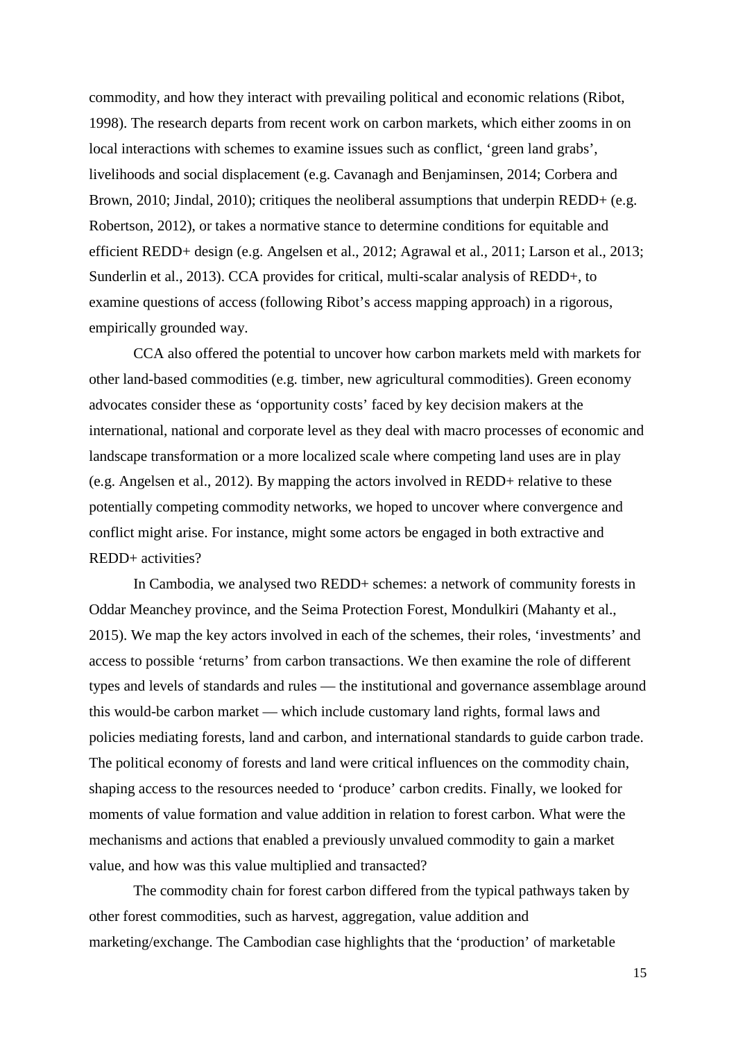commodity, and how they interact with prevailing political and economic relations (Ribot, 1998). The research departs from recent work on carbon markets, which either zooms in on local interactions with schemes to examine issues such as conflict, 'green land grabs', livelihoods and social displacement (e.g. Cavanagh and Benjaminsen, 2014; Corbera and Brown, 2010; Jindal, 2010); critiques the neoliberal assumptions that underpin REDD+ (e.g. Robertson, 2012), or takes a normative stance to determine conditions for equitable and efficient REDD+ design (e.g. Angelsen et al., 2012; Agrawal et al., 2011; Larson et al., 2013; Sunderlin et al., 2013). CCA provides for critical, multi-scalar analysis of REDD+, to examine questions of access (following Ribot's access mapping approach) in a rigorous, empirically grounded way.

CCA also offered the potential to uncover how carbon markets meld with markets for other land-based commodities (e.g. timber, new agricultural commodities). Green economy advocates consider these as 'opportunity costs' faced by key decision makers at the international, national and corporate level as they deal with macro processes of economic and landscape transformation or a more localized scale where competing land uses are in play (e.g. Angelsen et al., 2012). By mapping the actors involved in REDD+ relative to these potentially competing commodity networks, we hoped to uncover where convergence and conflict might arise. For instance, might some actors be engaged in both extractive and REDD+ activities?

In Cambodia, we analysed two REDD+ schemes: a network of community forests in Oddar Meanchey province, and the Seima Protection Forest, Mondulkiri (Mahanty et al., 2015). We map the key actors involved in each of the schemes, their roles, 'investments' and access to possible 'returns' from carbon transactions. We then examine the role of different types and levels of standards and rules — the institutional and governance assemblage around this would-be carbon market — which include customary land rights, formal laws and policies mediating forests, land and carbon, and international standards to guide carbon trade. The political economy of forests and land were critical influences on the commodity chain, shaping access to the resources needed to 'produce' carbon credits. Finally, we looked for moments of value formation and value addition in relation to forest carbon. What were the mechanisms and actions that enabled a previously unvalued commodity to gain a market value, and how was this value multiplied and transacted?

The commodity chain for forest carbon differed from the typical pathways taken by other forest commodities, such as harvest, aggregation, value addition and marketing/exchange. The Cambodian case highlights that the 'production' of marketable

15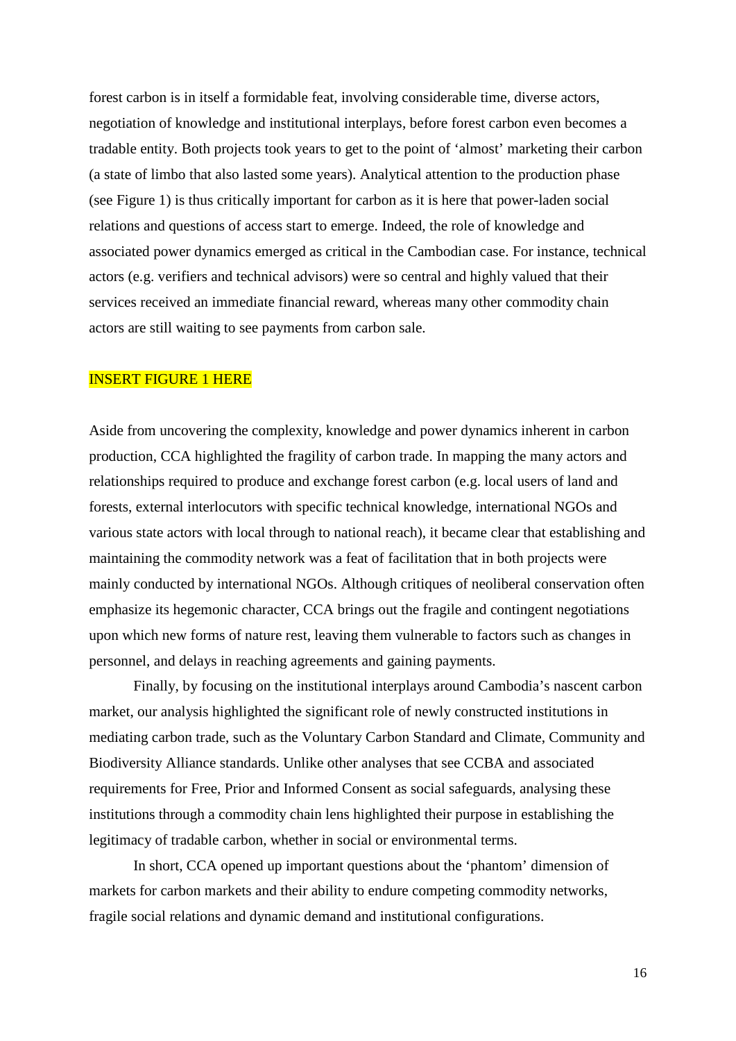forest carbon is in itself a formidable feat, involving considerable time, diverse actors, negotiation of knowledge and institutional interplays, before forest carbon even becomes a tradable entity. Both projects took years to get to the point of 'almost' marketing their carbon (a state of limbo that also lasted some years). Analytical attention to the production phase (see Figure 1) is thus critically important for carbon as it is here that power-laden social relations and questions of access start to emerge. Indeed, the role of knowledge and associated power dynamics emerged as critical in the Cambodian case. For instance, technical actors (e.g. verifiers and technical advisors) were so central and highly valued that their services received an immediate financial reward, whereas many other commodity chain actors are still waiting to see payments from carbon sale.

## INSERT FIGURE 1 HERE

Aside from uncovering the complexity, knowledge and power dynamics inherent in carbon production, CCA highlighted the fragility of carbon trade. In mapping the many actors and relationships required to produce and exchange forest carbon (e.g. local users of land and forests, external interlocutors with specific technical knowledge, international NGOs and various state actors with local through to national reach), it became clear that establishing and maintaining the commodity network was a feat of facilitation that in both projects were mainly conducted by international NGOs. Although critiques of neoliberal conservation often emphasize its hegemonic character, CCA brings out the fragile and contingent negotiations upon which new forms of nature rest, leaving them vulnerable to factors such as changes in personnel, and delays in reaching agreements and gaining payments.

Finally, by focusing on the institutional interplays around Cambodia's nascent carbon market, our analysis highlighted the significant role of newly constructed institutions in mediating carbon trade, such as the Voluntary Carbon Standard and Climate, Community and Biodiversity Alliance standards. Unlike other analyses that see CCBA and associated requirements for Free, Prior and Informed Consent as social safeguards, analysing these institutions through a commodity chain lens highlighted their purpose in establishing the legitimacy of tradable carbon, whether in social or environmental terms.

In short, CCA opened up important questions about the 'phantom' dimension of markets for carbon markets and their ability to endure competing commodity networks, fragile social relations and dynamic demand and institutional configurations.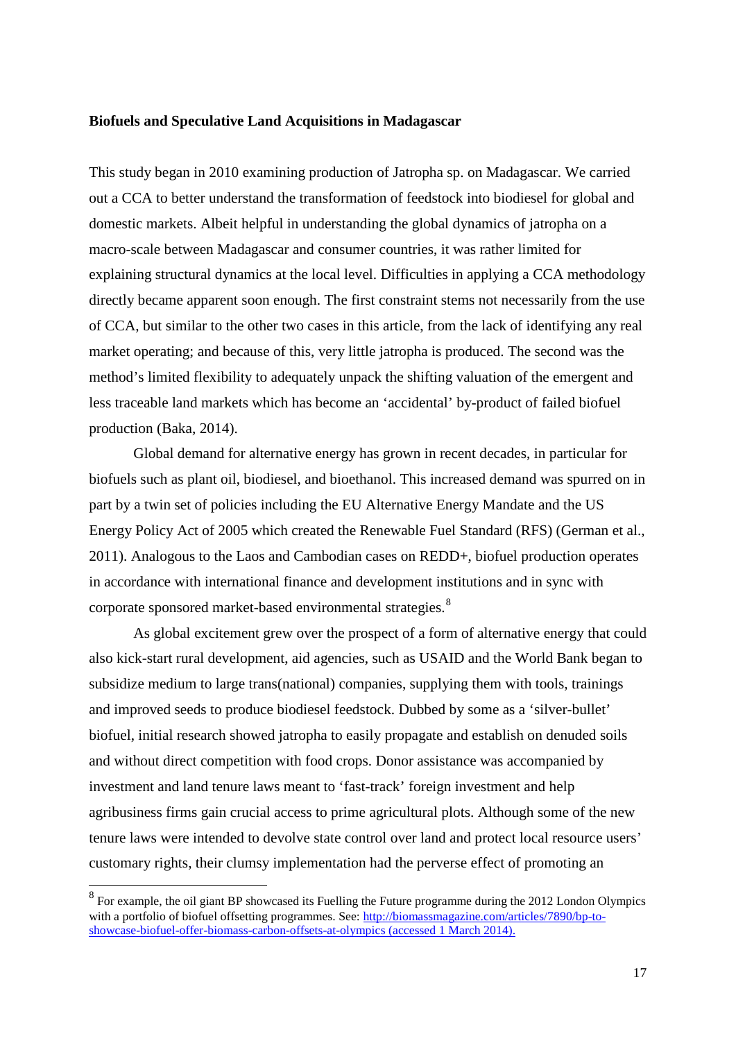### **Biofuels and Speculative Land Acquisitions in Madagascar**

This study began in 2010 examining production of Jatropha sp. on Madagascar. We carried out a CCA to better understand the transformation of feedstock into biodiesel for global and domestic markets. Albeit helpful in understanding the global dynamics of jatropha on a macro-scale between Madagascar and consumer countries, it was rather limited for explaining structural dynamics at the local level. Difficulties in applying a CCA methodology directly became apparent soon enough. The first constraint stems not necessarily from the use of CCA, but similar to the other two cases in this article, from the lack of identifying any real market operating; and because of this, very little jatropha is produced. The second was the method's limited flexibility to adequately unpack the shifting valuation of the emergent and less traceable land markets which has become an 'accidental' by-product of failed biofuel production (Baka, 2014).

Global demand for alternative energy has grown in recent decades, in particular for biofuels such as plant oil, biodiesel, and bioethanol. This increased demand was spurred on in part by a twin set of policies including the EU Alternative Energy Mandate and the US Energy Policy Act of 2005 which created the Renewable Fuel Standard (RFS) (German et al., 2011). Analogous to the Laos and Cambodian cases on REDD+, biofuel production operates in accordance with international finance and development institutions and in sync with corporate sponsored market-based environmental strategies.<sup>[8](#page-16-0)</sup>

As global excitement grew over the prospect of a form of alternative energy that could also kick-start rural development, aid agencies, such as USAID and the World Bank began to subsidize medium to large trans(national) companies, supplying them with tools, trainings and improved seeds to produce biodiesel feedstock. Dubbed by some as a 'silver-bullet' biofuel, initial research showed jatropha to easily propagate and establish on denuded soils and without direct competition with food crops. Donor assistance was accompanied by investment and land tenure laws meant to 'fast-track' foreign investment and help agribusiness firms gain crucial access to prime agricultural plots. Although some of the new tenure laws were intended to devolve state control over land and protect local resource users' customary rights, their clumsy implementation had the perverse effect of promoting an

<span id="page-16-0"></span><sup>&</sup>lt;sup>8</sup> For example, the oil giant BP showcased its Fuelling the Future programme during the 2012 London Olympics with a portfolio of biofuel offsetting programmes. See: [http://biomassmagazine.com/articles/7890/bp-to](http://biomassmagazine.com/articles/7890/bp-to-showcase-biofuel-offer-biomass-carbon-offsets-at-olympics)[showcase-biofuel-offer-biomass-carbon-offsets-at-olympics](http://biomassmagazine.com/articles/7890/bp-to-showcase-biofuel-offer-biomass-carbon-offsets-at-olympics) (accessed 1 March 2014).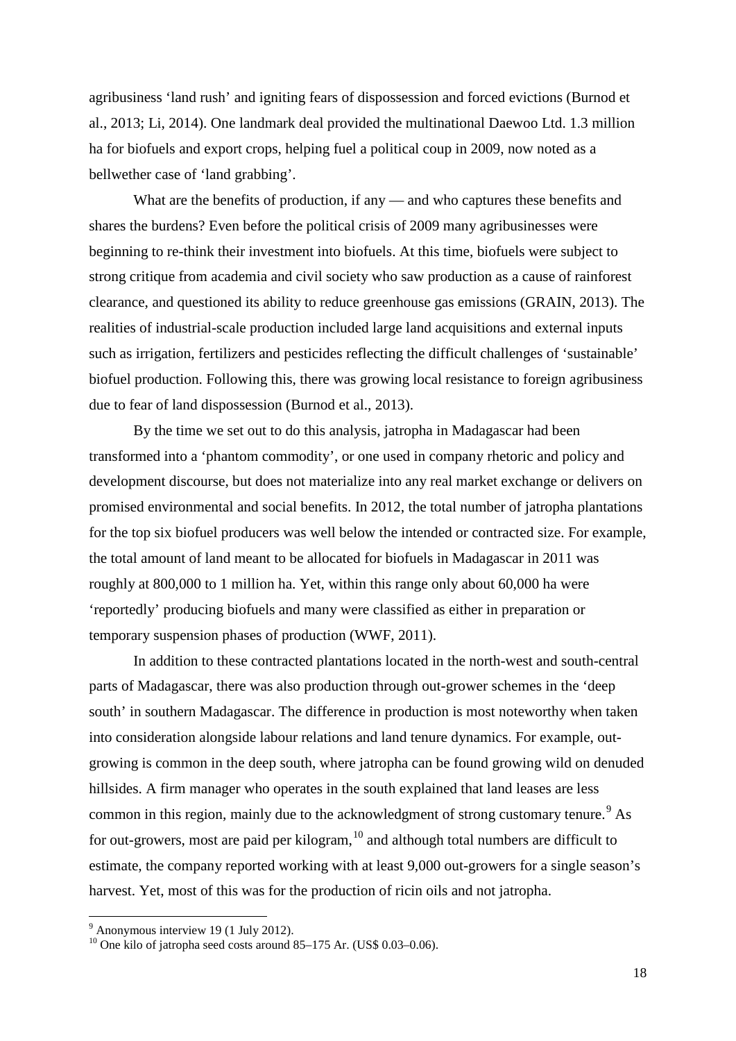agribusiness 'land rush' and igniting fears of dispossession and forced evictions (Burnod et al., 2013; Li, 2014). One landmark deal provided the multinational Daewoo Ltd. 1.3 million ha for biofuels and export crops, helping fuel a political coup in 2009, now noted as a bellwether case of 'land grabbing'.

What are the benefits of production, if any — and who captures these benefits and shares the burdens? Even before the political crisis of 2009 many agribusinesses were beginning to re-think their investment into biofuels. At this time, biofuels were subject to strong critique from academia and civil society who saw production as a cause of rainforest clearance, and questioned its ability to reduce greenhouse gas emissions (GRAIN, 2013). The realities of industrial-scale production included large land acquisitions and external inputs such as irrigation, fertilizers and pesticides reflecting the difficult challenges of 'sustainable' biofuel production. Following this, there was growing local resistance to foreign agribusiness due to fear of land dispossession (Burnod et al., 2013).

By the time we set out to do this analysis, jatropha in Madagascar had been transformed into a 'phantom commodity', or one used in company rhetoric and policy and development discourse, but does not materialize into any real market exchange or delivers on promised environmental and social benefits. In 2012, the total number of jatropha plantations for the top six biofuel producers was well below the intended or contracted size. For example, the total amount of land meant to be allocated for biofuels in Madagascar in 2011 was roughly at 800,000 to 1 million ha. Yet, within this range only about 60,000 ha were 'reportedly' producing biofuels and many were classified as either in preparation or temporary suspension phases of production (WWF, 2011).

In addition to these contracted plantations located in the north-west and south-central parts of Madagascar, there was also production through out-grower schemes in the 'deep south' in southern Madagascar. The difference in production is most noteworthy when taken into consideration alongside labour relations and land tenure dynamics. For example, outgrowing is common in the deep south, where jatropha can be found growing wild on denuded hillsides. A firm manager who operates in the south explained that land leases are less common in this region, mainly due to the acknowledgment of strong customary tenure.<sup>[9](#page-17-0)</sup> As for out-growers, most are paid per kilogram, $10$  and although total numbers are difficult to estimate, the company reported working with at least 9,000 out-growers for a single season's harvest. Yet, most of this was for the production of ricin oils and not jatropha.

<span id="page-17-1"></span><span id="page-17-0"></span> $9$  Anonymous interview 19 (1 July 2012).<br><sup>10</sup> One kilo of jatropha seed costs around 85–175 Ar. (US\$ 0.03–0.06).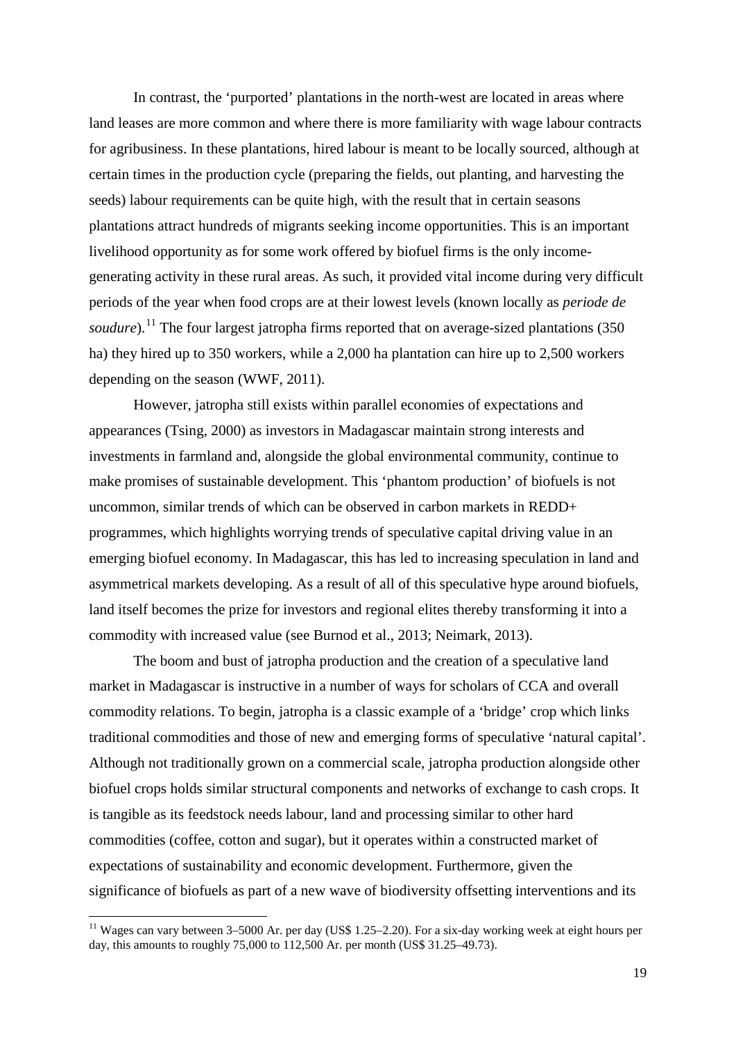In contrast, the 'purported' plantations in the north-west are located in areas where land leases are more common and where there is more familiarity with wage labour contracts for agribusiness. In these plantations, hired labour is meant to be locally sourced, although at certain times in the production cycle (preparing the fields, out planting, and harvesting the seeds) labour requirements can be quite high, with the result that in certain seasons plantations attract hundreds of migrants seeking income opportunities. This is an important livelihood opportunity as for some work offered by biofuel firms is the only incomegenerating activity in these rural areas. As such, it provided vital income during very difficult periods of the year when food crops are at their lowest levels (known locally as *periode de soudure*).<sup>[11](#page-18-0)</sup> The four largest jatropha firms reported that on average-sized plantations (350 ha) they hired up to 350 workers, while a 2,000 ha plantation can hire up to 2,500 workers depending on the season (WWF, 2011).

However, jatropha still exists within parallel economies of expectations and appearances (Tsing, 2000) as investors in Madagascar maintain strong interests and investments in farmland and, alongside the global environmental community, continue to make promises of sustainable development. This 'phantom production' of biofuels is not uncommon, similar trends of which can be observed in carbon markets in REDD+ programmes, which highlights worrying trends of speculative capital driving value in an emerging biofuel economy. In Madagascar, this has led to increasing speculation in land and asymmetrical markets developing. As a result of all of this speculative hype around biofuels, land itself becomes the prize for investors and regional elites thereby transforming it into a commodity with increased value (see Burnod et al., 2013; Neimark, 2013).

The boom and bust of jatropha production and the creation of a speculative land market in Madagascar is instructive in a number of ways for scholars of CCA and overall commodity relations. To begin, jatropha is a classic example of a 'bridge' crop which links traditional commodities and those of new and emerging forms of speculative 'natural capital'. Although not traditionally grown on a commercial scale, jatropha production alongside other biofuel crops holds similar structural components and networks of exchange to cash crops. It is tangible as its feedstock needs labour, land and processing similar to other hard commodities (coffee, cotton and sugar), but it operates within a constructed market of expectations of sustainability and economic development. Furthermore, given the significance of biofuels as part of a new wave of biodiversity offsetting interventions and its

<span id="page-18-0"></span><sup>&</sup>lt;sup>11</sup> Wages can vary between 3–5000 Ar. per day (US\$ 1.25–2.20). For a six-day working week at eight hours per day, this amounts to roughly 75,000 to 112,500 Ar. per month (US\$ 31.25–49.73).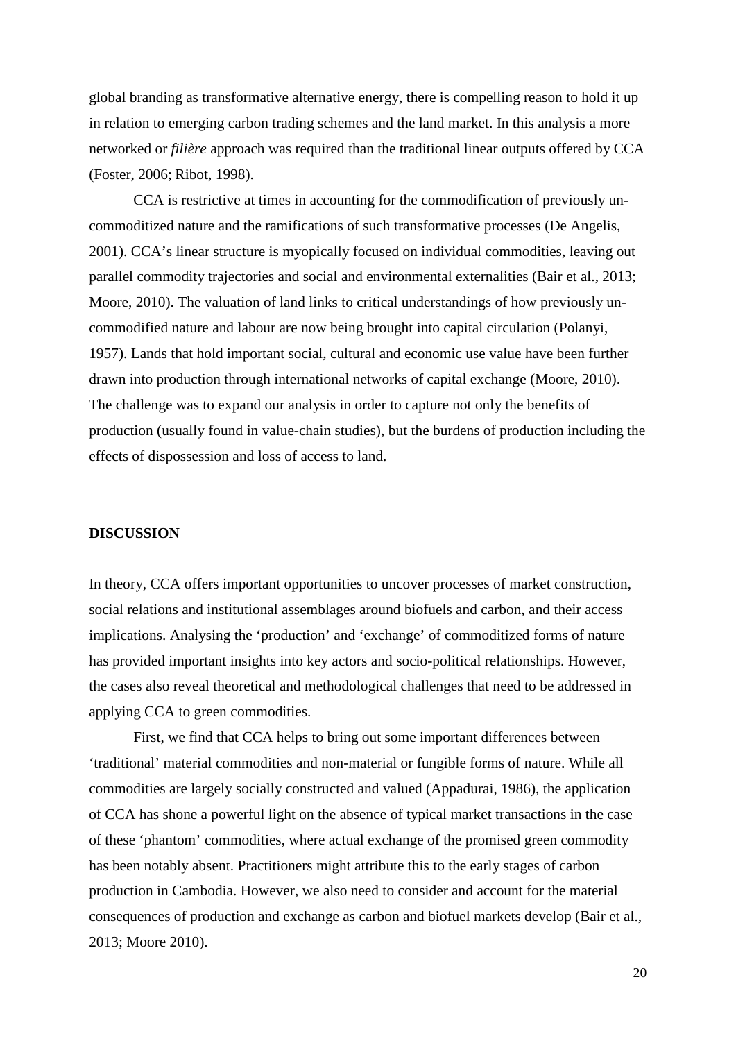global branding as transformative alternative energy, there is compelling reason to hold it up in relation to emerging carbon trading schemes and the land market. In this analysis a more networked or *filière* approach was required than the traditional linear outputs offered by CCA (Foster, 2006; Ribot, 1998).

CCA is restrictive at times in accounting for the commodification of previously uncommoditized nature and the ramifications of such transformative processes (De Angelis, 2001). CCA's linear structure is myopically focused on individual commodities, leaving out parallel commodity trajectories and social and environmental externalities (Bair et al., 2013; Moore, 2010). The valuation of land links to critical understandings of how previously uncommodified nature and labour are now being brought into capital circulation (Polanyi, 1957). Lands that hold important social, cultural and economic use value have been further drawn into production through international networks of capital exchange (Moore, 2010). The challenge was to expand our analysis in order to capture not only the benefits of production (usually found in value-chain studies), but the burdens of production including the effects of dispossession and loss of access to land.

### **DISCUSSION**

In theory, CCA offers important opportunities to uncover processes of market construction, social relations and institutional assemblages around biofuels and carbon, and their access implications. Analysing the 'production' and 'exchange' of commoditized forms of nature has provided important insights into key actors and socio-political relationships. However, the cases also reveal theoretical and methodological challenges that need to be addressed in applying CCA to green commodities.

First, we find that CCA helps to bring out some important differences between 'traditional' material commodities and non-material or fungible forms of nature. While all commodities are largely socially constructed and valued (Appadurai, 1986), the application of CCA has shone a powerful light on the absence of typical market transactions in the case of these 'phantom' commodities, where actual exchange of the promised green commodity has been notably absent. Practitioners might attribute this to the early stages of carbon production in Cambodia. However, we also need to consider and account for the material consequences of production and exchange as carbon and biofuel markets develop (Bair et al., 2013; Moore 2010).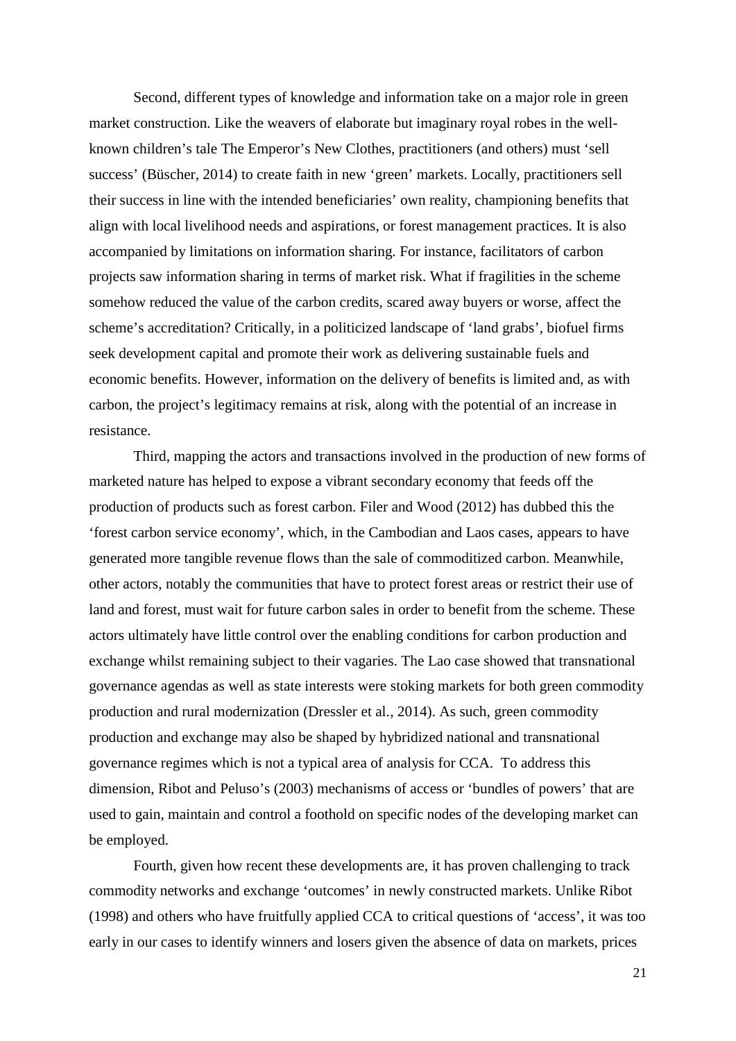Second, different types of knowledge and information take on a major role in green market construction. Like the weavers of elaborate but imaginary royal robes in the wellknown children's tale The Emperor's New Clothes, practitioners (and others) must 'sell success' (Büscher, 2014) to create faith in new 'green' markets. Locally, practitioners sell their success in line with the intended beneficiaries' own reality, championing benefits that align with local livelihood needs and aspirations, or forest management practices. It is also accompanied by limitations on information sharing. For instance, facilitators of carbon projects saw information sharing in terms of market risk. What if fragilities in the scheme somehow reduced the value of the carbon credits, scared away buyers or worse, affect the scheme's accreditation? Critically, in a politicized landscape of 'land grabs', biofuel firms seek development capital and promote their work as delivering sustainable fuels and economic benefits. However, information on the delivery of benefits is limited and, as with carbon, the project's legitimacy remains at risk, along with the potential of an increase in resistance.

Third, mapping the actors and transactions involved in the production of new forms of marketed nature has helped to expose a vibrant secondary economy that feeds off the production of products such as forest carbon. Filer and Wood (2012) has dubbed this the 'forest carbon service economy', which, in the Cambodian and Laos cases, appears to have generated more tangible revenue flows than the sale of commoditized carbon. Meanwhile, other actors, notably the communities that have to protect forest areas or restrict their use of land and forest, must wait for future carbon sales in order to benefit from the scheme. These actors ultimately have little control over the enabling conditions for carbon production and exchange whilst remaining subject to their vagaries. The Lao case showed that transnational governance agendas as well as state interests were stoking markets for both green commodity production and rural modernization (Dressler et al., 2014). As such, green commodity production and exchange may also be shaped by hybridized national and transnational governance regimes which is not a typical area of analysis for CCA. To address this dimension, Ribot and Peluso's (2003) mechanisms of access or 'bundles of powers' that are used to gain, maintain and control a foothold on specific nodes of the developing market can be employed.

Fourth, given how recent these developments are, it has proven challenging to track commodity networks and exchange 'outcomes' in newly constructed markets. Unlike Ribot (1998) and others who have fruitfully applied CCA to critical questions of 'access', it was too early in our cases to identify winners and losers given the absence of data on markets, prices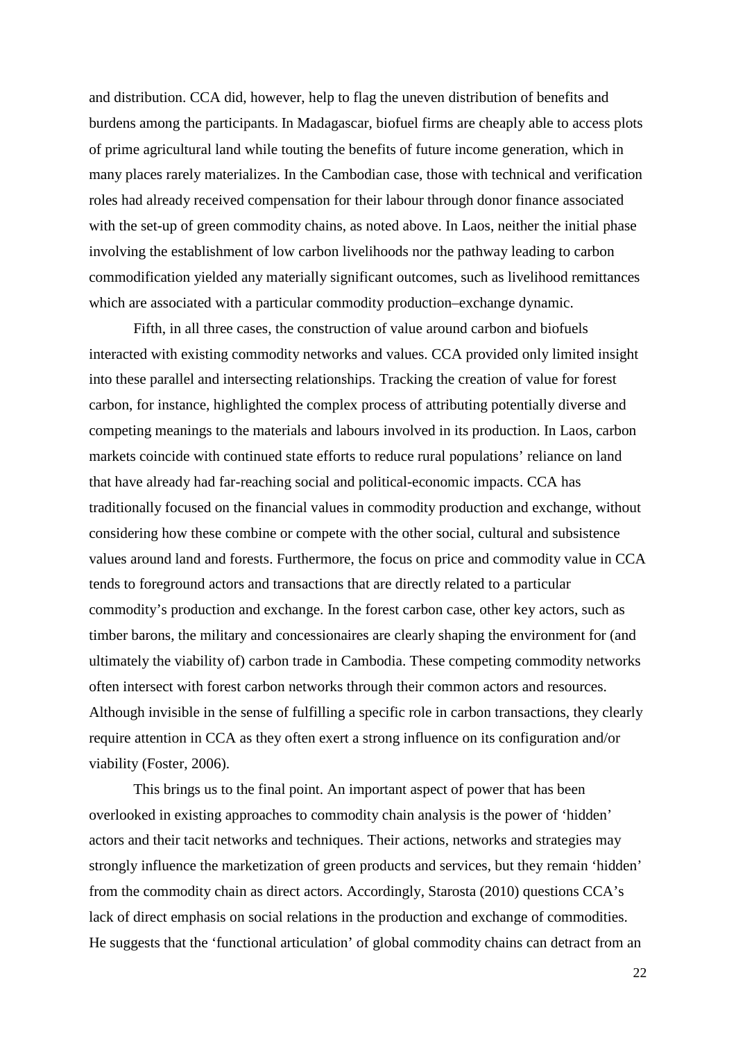and distribution. CCA did, however, help to flag the uneven distribution of benefits and burdens among the participants. In Madagascar, biofuel firms are cheaply able to access plots of prime agricultural land while touting the benefits of future income generation, which in many places rarely materializes. In the Cambodian case, those with technical and verification roles had already received compensation for their labour through donor finance associated with the set-up of green commodity chains, as noted above. In Laos, neither the initial phase involving the establishment of low carbon livelihoods nor the pathway leading to carbon commodification yielded any materially significant outcomes, such as livelihood remittances which are associated with a particular commodity production–exchange dynamic.

Fifth, in all three cases, the construction of value around carbon and biofuels interacted with existing commodity networks and values. CCA provided only limited insight into these parallel and intersecting relationships. Tracking the creation of value for forest carbon, for instance, highlighted the complex process of attributing potentially diverse and competing meanings to the materials and labours involved in its production. In Laos, carbon markets coincide with continued state efforts to reduce rural populations' reliance on land that have already had far-reaching social and political-economic impacts. CCA has traditionally focused on the financial values in commodity production and exchange, without considering how these combine or compete with the other social, cultural and subsistence values around land and forests. Furthermore, the focus on price and commodity value in CCA tends to foreground actors and transactions that are directly related to a particular commodity's production and exchange. In the forest carbon case, other key actors, such as timber barons, the military and concessionaires are clearly shaping the environment for (and ultimately the viability of) carbon trade in Cambodia. These competing commodity networks often intersect with forest carbon networks through their common actors and resources. Although invisible in the sense of fulfilling a specific role in carbon transactions, they clearly require attention in CCA as they often exert a strong influence on its configuration and/or viability (Foster, 2006).

This brings us to the final point. An important aspect of power that has been overlooked in existing approaches to commodity chain analysis is the power of 'hidden' actors and their tacit networks and techniques. Their actions, networks and strategies may strongly influence the marketization of green products and services, but they remain 'hidden' from the commodity chain as direct actors. Accordingly, Starosta (2010) questions CCA's lack of direct emphasis on social relations in the production and exchange of commodities. He suggests that the 'functional articulation' of global commodity chains can detract from an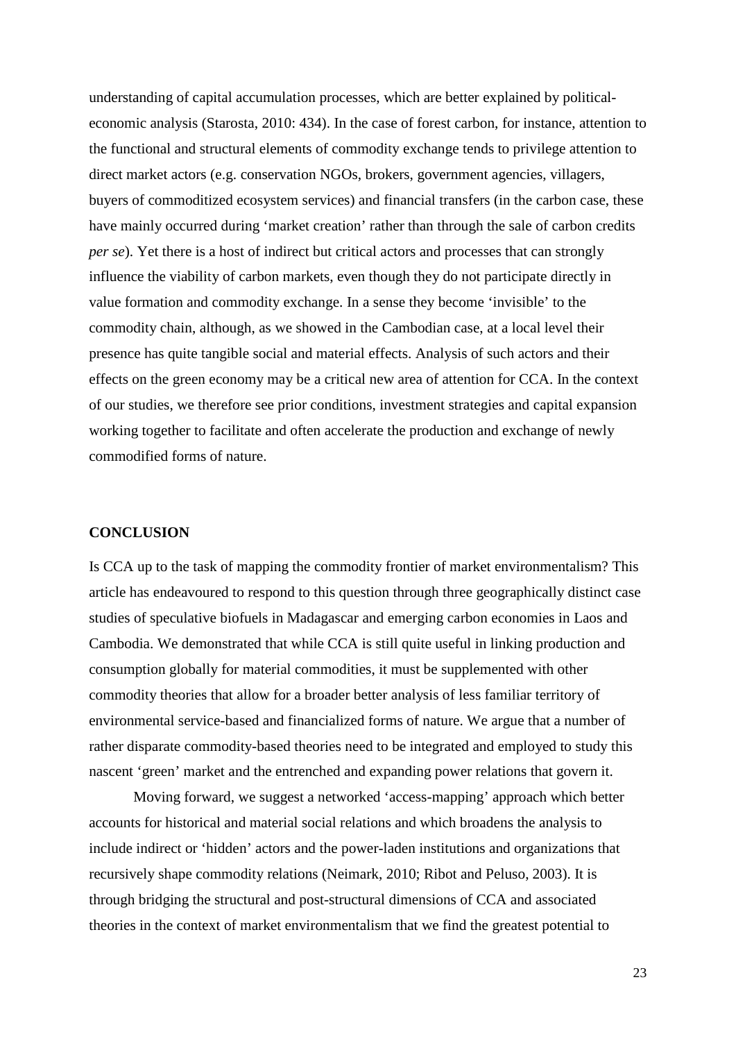understanding of capital accumulation processes, which are better explained by politicaleconomic analysis (Starosta, 2010: 434). In the case of forest carbon, for instance, attention to the functional and structural elements of commodity exchange tends to privilege attention to direct market actors (e.g. conservation NGOs, brokers, government agencies, villagers, buyers of commoditized ecosystem services) and financial transfers (in the carbon case, these have mainly occurred during 'market creation' rather than through the sale of carbon credits *per se*). Yet there is a host of indirect but critical actors and processes that can strongly influence the viability of carbon markets, even though they do not participate directly in value formation and commodity exchange. In a sense they become 'invisible' to the commodity chain, although, as we showed in the Cambodian case, at a local level their presence has quite tangible social and material effects. Analysis of such actors and their effects on the green economy may be a critical new area of attention for CCA. In the context of our studies, we therefore see prior conditions, investment strategies and capital expansion working together to facilitate and often accelerate the production and exchange of newly commodified forms of nature.

### **CONCLUSION**

Is CCA up to the task of mapping the commodity frontier of market environmentalism? This article has endeavoured to respond to this question through three geographically distinct case studies of speculative biofuels in Madagascar and emerging carbon economies in Laos and Cambodia. We demonstrated that while CCA is still quite useful in linking production and consumption globally for material commodities, it must be supplemented with other commodity theories that allow for a broader better analysis of less familiar territory of environmental service-based and financialized forms of nature. We argue that a number of rather disparate commodity-based theories need to be integrated and employed to study this nascent 'green' market and the entrenched and expanding power relations that govern it.

Moving forward, we suggest a networked 'access-mapping' approach which better accounts for historical and material social relations and which broadens the analysis to include indirect or 'hidden' actors and the power-laden institutions and organizations that recursively shape commodity relations (Neimark, 2010; Ribot and Peluso, 2003). It is through bridging the structural and post-structural dimensions of CCA and associated theories in the context of market environmentalism that we find the greatest potential to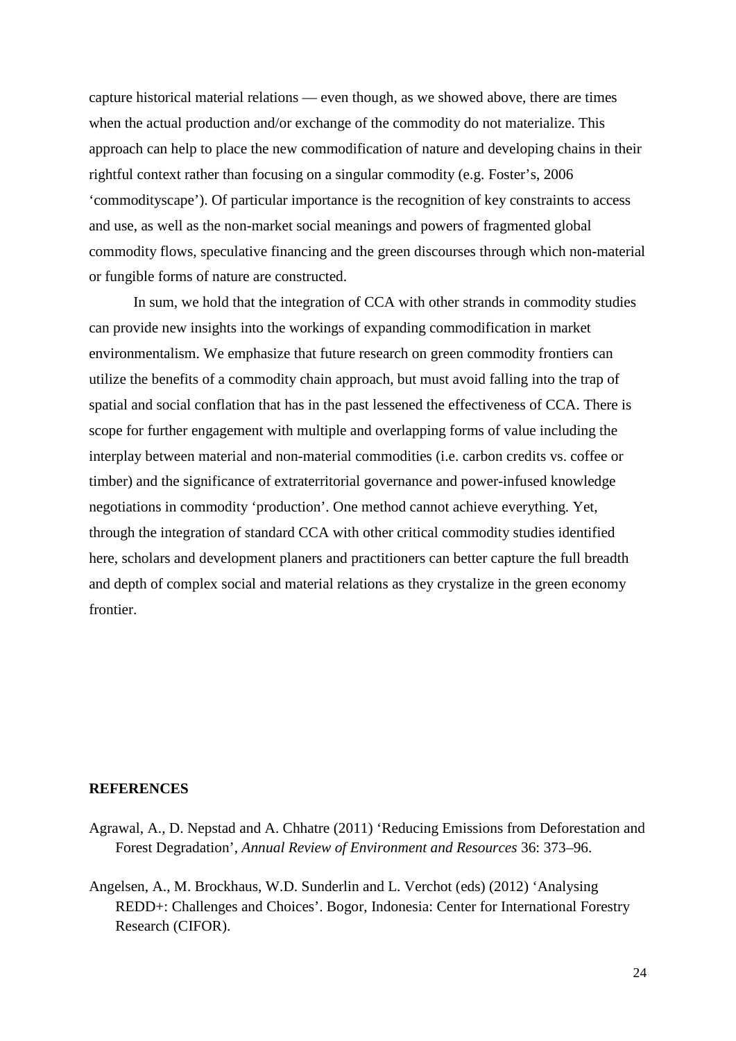capture historical material relations — even though, as we showed above, there are times when the actual production and/or exchange of the commodity do not materialize. This approach can help to place the new commodification of nature and developing chains in their rightful context rather than focusing on a singular commodity (e.g. Foster's, 2006 'commodityscape'). Of particular importance is the recognition of key constraints to access and use, as well as the non-market social meanings and powers of fragmented global commodity flows, speculative financing and the green discourses through which non-material or fungible forms of nature are constructed.

In sum, we hold that the integration of CCA with other strands in commodity studies can provide new insights into the workings of expanding commodification in market environmentalism. We emphasize that future research on green commodity frontiers can utilize the benefits of a commodity chain approach, but must avoid falling into the trap of spatial and social conflation that has in the past lessened the effectiveness of CCA. There is scope for further engagement with multiple and overlapping forms of value including the interplay between material and non-material commodities (i.e. carbon credits vs. coffee or timber) and the significance of extraterritorial governance and power-infused knowledge negotiations in commodity 'production'. One method cannot achieve everything. Yet, through the integration of standard CCA with other critical commodity studies identified here, scholars and development planers and practitioners can better capture the full breadth and depth of complex social and material relations as they crystalize in the green economy frontier.

### **REFERENCES**

- Agrawal, A., D. Nepstad and A. Chhatre (2011) 'Reducing Emissions from Deforestation and Forest Degradation', *Annual Review of Environment and Resources* 36: 373–96.
- Angelsen, A., M. Brockhaus, W.D. Sunderlin and L. Verchot (eds) (2012) 'Analysing REDD+: Challenges and Choices'. Bogor, Indonesia: Center for International Forestry Research (CIFOR).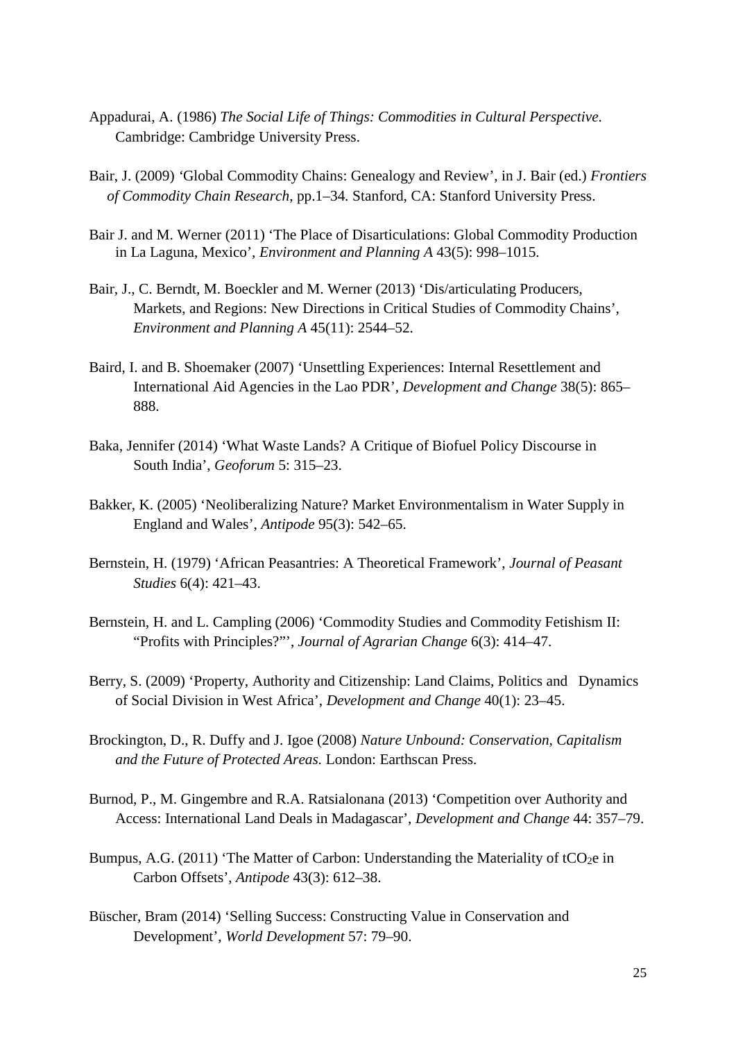- Appadurai, A. (1986) *The Social Life of Things: Commodities in Cultural Perspective*. Cambridge: Cambridge University Press.
- Bair, J. (2009) *'*Global Commodity Chains: Genealogy and Review', in J. Bair (ed.) *Frontiers of Commodity Chain Research*, pp.1*–*34*.* Stanford, CA: Stanford University Press.
- Bair J. and M. Werner (2011) 'The Place of Disarticulations: Global Commodity Production in La Laguna, Mexico', *Environment and Planning A* 43(5): 998*–*1015.
- Bair*,* J., C. Berndt, M. Boeckler and M. Werner (2013) 'Dis/articulating Producers, Markets, and Regions: New Directions in Critical Studies of Commodity Chains', *Environment and Planning A* 45(11): 2544–52.
- Baird, I. and B. Shoemaker (2007) 'Unsettling Experiences: Internal Resettlement and International Aid Agencies in the Lao PDR', *Development and Change* 38(5): 865– 888.
- Baka*,* Jennifer (2014) 'What Waste Lands? A Critique of Biofuel Policy Discourse in South India', *Geoforum* 5: 315–23.
- Bakker, K. (2005) 'Neoliberalizing Nature? Market Environmentalism in Water Supply in England and Wales', *Antipode* 95(3): 542–65.
- Bernstein, H. (1979) 'African Peasantries: A Theoretical Framework', *Journal of Peasant Studies* 6(4): 421–43.
- Bernstein, H. and L. Campling (2006) 'Commodity Studies and Commodity Fetishism II: "Profits with Principles?"', *Journal of Agrarian Change* 6(3): 414–47.
- Berry, S. (2009) 'Property, Authority and Citizenship: Land Claims, Politics and Dynamics of Social Division in West Africa', *Development and Change* 40(1): 23–45.
- Brockington, D., R. Duffy and J. Igoe (2008) *Nature Unbound: Conservation, Capitalism and the Future of Protected Areas.* London: Earthscan Press.
- Burnod, P., M. Gingembre and R.A. Ratsialonana (2013) 'Competition over Authority and Access: International Land Deals in Madagascar', *Development and Change* 44: 357–79.
- Bumpus, A.G. (2011) 'The Matter of Carbon: Understanding the Materiality of tCO<sub>2</sub>e in Carbon Offsets', *Antipode* 43(3): 612–38.
- Büscher, Bram (2014) 'Selling Success: Constructing Value in Conservation and Development', *World Development* 57: 79–90.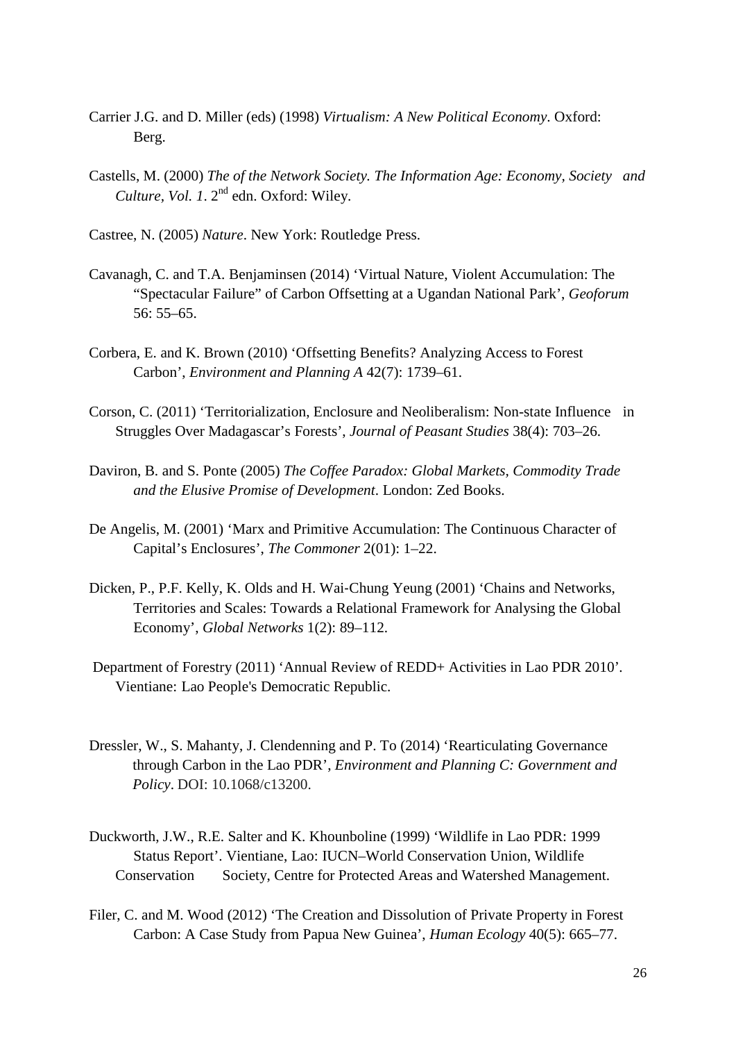- Carrier J.G. and D. Miller (eds) (1998) *Virtualism: A New Political Economy*. Oxford: Berg.
- Castells, M. (2000) *The of the Network Society. The Information Age: Economy, Society and Culture, Vol. 1*. 2nd edn. Oxford: Wiley.
- Castree, N. (2005) *Nature*. New York: Routledge Press.
- Cavanagh, C. and T.A. Benjaminsen (2014) 'Virtual Nature, Violent Accumulation: The "Spectacular Failure" of Carbon Offsetting at a Ugandan National Park', *Geoforum* 56: 55–65.
- Corbera, E. and K. Brown (2010) 'Offsetting Benefits? Analyzing Access to Forest Carbon', *Environment and Planning A* 42(7): 1739–61.
- Corson, C. (2011) 'Territorialization, Enclosure and Neoliberalism: Non-state Influence in Struggles Over Madagascar's Forests', *Journal of Peasant Studies* 38(4): 703–26.
- Daviron, B. and S. Ponte (2005) *The Coffee Paradox: Global Markets, Commodity Trade and the Elusive Promise of Development*. London: Zed Books.
- De Angelis, M. (2001) 'Marx and Primitive Accumulation: The Continuous Character of Capital's Enclosures', *The Commoner* 2(01): 1–22.
- Dicken, P., P.F. Kelly, K. Olds and H. Wai‐Chung Yeung (2001) 'Chains and Networks, Territories and Scales: Towards a Relational Framework for Analysing the Global Economy', *Global Networks* 1(2): 89–112.
- Department of Forestry (2011) 'Annual Review of REDD+ Activities in Lao PDR 2010'*.* Vientiane: Lao People's Democratic Republic.
- Dressler, W., S. Mahanty, J. Clendenning and P. To (2014) 'Rearticulating Governance through Carbon in the Lao PDR', *Environment and Planning C: Government and Policy*. DOI: 10.1068/c13200.
- Duckworth, J.W., R.E. Salter and K. Khounboline (1999) 'Wildlife in Lao PDR: 1999 Status Report'. Vientiane, Lao: IUCN–World Conservation Union, Wildlife Conservation Society, Centre for Protected Areas and Watershed Management.
- Filer, C. and M. Wood (2012) 'The Creation and Dissolution of Private Property in Forest Carbon: A Case Study from Papua New Guinea', *Human Ecology* 40(5): 665–77.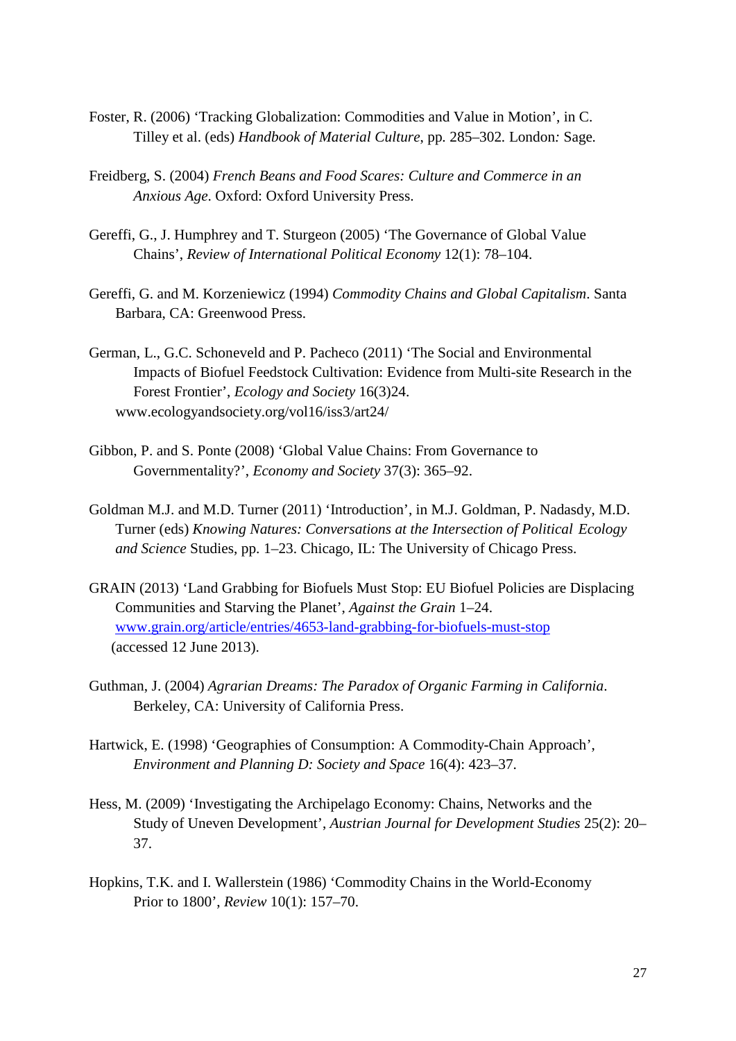- Foster, R. (2006) 'Tracking Globalization: Commodities and Value in Motion', in C. Tilley et al. (eds) *Handbook of Material Culture*, pp*.* 285–302*.* London*:* Sage*.*
- Freidberg, S. (2004) *French Beans and Food Scares: Culture and Commerce in an Anxious Age*. Oxford: Oxford University Press.
- Gereffi, G., J. Humphrey and T. Sturgeon (2005) 'The Governance of Global Value Chains', *Review of International Political Economy* 12(1): 78–104.
- Gereffi, G. and M. Korzeniewicz (1994) *Commodity Chains and Global Capitalism*. Santa Barbara, CA: Greenwood Press.
- German, L., G.C. Schoneveld and P. Pacheco (2011) 'The Social and Environmental Impacts of Biofuel Feedstock Cultivation: Evidence from Multi-site Research in the Forest Frontier', *Ecology and Society* 16(3)24. www.ecologyandsociety.org/vol16/iss3/art24/
- Gibbon, P. and S. Ponte (2008) 'Global Value Chains: From Governance to Governmentality?', *Economy and Society* 37(3): 365–92.
- Goldman M.J. and M.D. Turner (2011) 'Introduction', in M.J. Goldman, P. Nadasdy, M.D. Turner (eds) *Knowing Natures: Conversations at the Intersection of Political Ecology and Science* Studies, pp. 1–23. Chicago, IL: The University of Chicago Press.
- GRAIN (2013) 'Land Grabbing for Biofuels Must Stop: EU Biofuel Policies are Displacing Communities and Starving the Planet', *Against the Grain* 1–24. [www.grain.org/article/entries/4653-land-grabbing-for-biofuels-must-stop](http://www.grain.org/article/entries/4653-land-grabbing-for-biofuels-must-stop) (accessed 12 June 2013).
- Guthman, J. (2004) *Agrarian Dreams: The Paradox of Organic Farming in California*. Berkeley, CA: University of California Press.
- Hartwick, E. (1998) 'Geographies of Consumption: A Commodity-Chain Approach', *Environment and Planning D: Society and Space* 16(4): 423–37.
- Hess, M. (2009) 'Investigating the Archipelago Economy: Chains, Networks and the Study of Uneven Development', *Austrian Journal for Development Studies* 25(2): 20– 37.
- Hopkins, T.K. and I. Wallerstein (1986) 'Commodity Chains in the World-Economy Prior to 1800', *Review* 10(1): 157–70.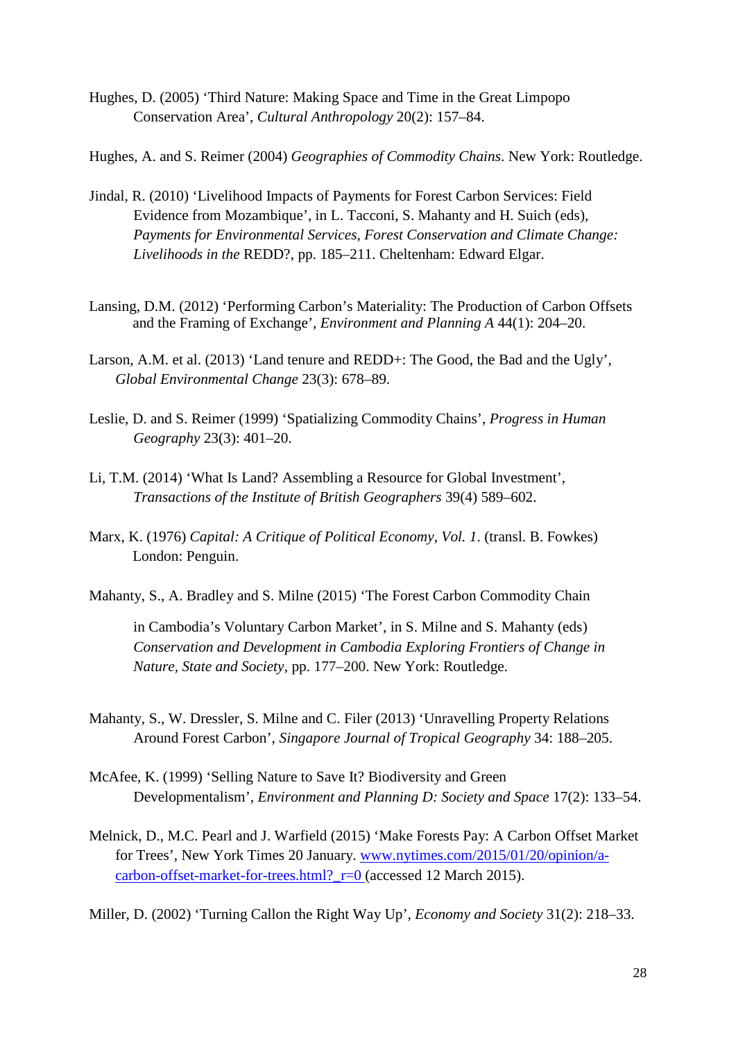Hughes, D. (2005) 'Third Nature: Making Space and Time in the Great Limpopo Conservation Area', *Cultural Anthropology* 20(2): 157–84.

Hughes, A. and S. Reimer (2004) *Geographies of Commodity Chains*. New York: Routledge.

- Jindal, R. (2010) 'Livelihood Impacts of Payments for Forest Carbon Services: Field Evidence from Mozambique', in L. Tacconi, S. Mahanty and H. Suich (eds), *Payments for Environmental Services, Forest Conservation and Climate Change: Livelihoods in the* REDD?, pp. 185–211. Cheltenham: Edward Elgar.
- Lansing, D.M. (2012) 'Performing Carbon's Materiality: The Production of Carbon Offsets and the Framing of Exchange', *Environment and Planning A* 44(1): 204–20.
- Larson, A.M. et al. (2013) 'Land tenure and REDD+: The Good, the Bad and the Ugly', *Global Environmental Change* 23(3): 678–89.
- Leslie, D. and S. Reimer (1999) 'Spatializing Commodity Chains', *Progress in Human Geography* 23(3): 401–20.
- Li, T.M. (2014) 'What Is Land? Assembling a Resource for Global Investment', *Transactions of the Institute of British Geographers* 39(4) 589–602.
- Marx, K. (1976) *Capital: A Critique of Political Economy*, *Vol. 1*. (transl. B. Fowkes) London: Penguin.
- Mahanty, S., A. Bradley and S. Milne (2015) 'The Forest Carbon Commodity Chain

in Cambodia's Voluntary Carbon Market', in S. Milne and S. Mahanty (eds) *Conservation and Development in Cambodia Exploring Frontiers of Change in Nature, State and Society*, pp. 177–200. New York: Routledge.

- Mahanty, S., W. Dressler, S. Milne and C. Filer (2013) 'Unravelling Property Relations Around Forest Carbon', *Singapore Journal of Tropical Geography* 34: 188–205.
- McAfee, K. (1999) 'Selling Nature to Save It? Biodiversity and Green Developmentalism', *Environment and Planning D: Society and Space* 17(2): 133–54.
- Melnick, D., M.C. Pearl and J. Warfield (2015) 'Make Forests Pay: A Carbon Offset Market for Trees', New York Times 20 January. [www.nytimes.com/2015/01/20/opinion/a](http://www.nytimes.com/2015/01/20/opinion/a-carbon-offset-market-for-trees.html?_r=0)[carbon-offset-market-for-trees.html?\\_r=0](http://www.nytimes.com/2015/01/20/opinion/a-carbon-offset-market-for-trees.html?_r=0) (accessed 12 March 2015).

Miller, D. (2002) 'Turning Callon the Right Way Up', *Economy and Society* 31(2): 218–33.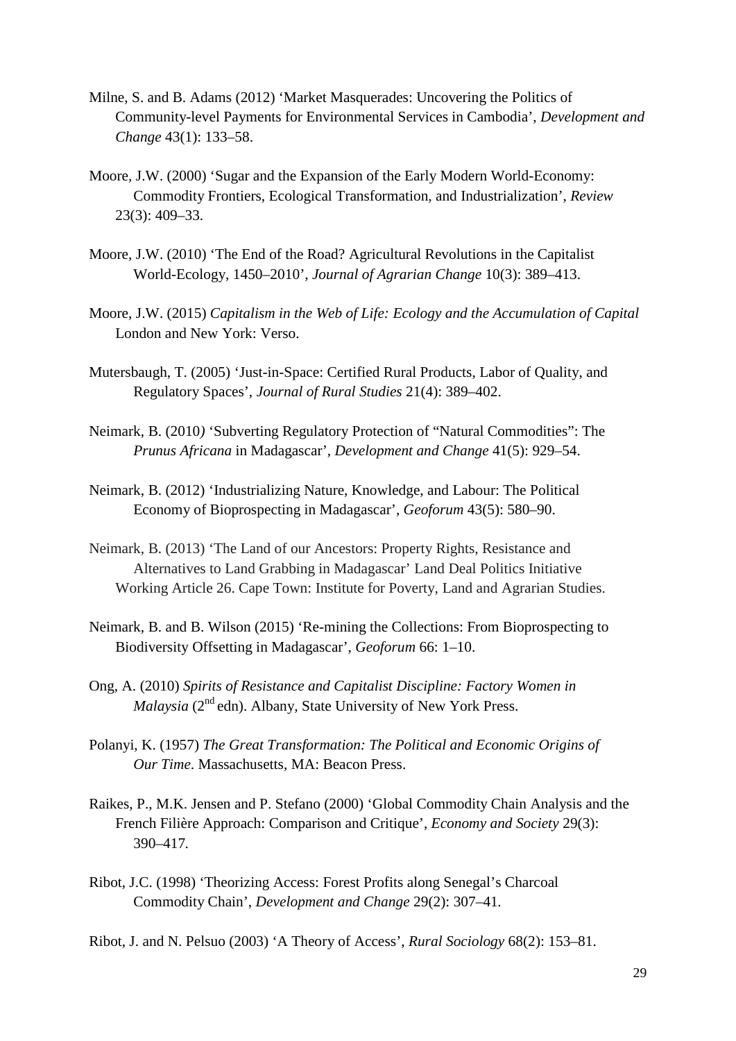- Milne, S. and B. Adams (2012) 'Market Masquerades: Uncovering the Politics of Community-level Payments for Environmental Services in Cambodia', *Development and Change* 43(1): 133–58.
- Moore*,* J.W. (2000) 'Sugar and the Expansion of the Early Modern World*-*Economy: Commodity Frontiers, Ecological Transformation*,* and Industrialization', *Review* 23(3): 409–33.
- Moore*,* J.W. (2010) 'The End of the Road? Agricultural Revolutions in the Capitalist World-Ecology, 1450–2010', *Journal of Agrarian Change* 10(3): 389–413.
- Moore, J.W. (2015) *Capitalism in the Web of Life: Ecology and the Accumulation of Capital* London and New York: Verso.
- Mutersbaugh, T. (2005) 'Just-in-Space: Certified Rural Products, Labor of Quality, and Regulatory Spaces', *Journal of Rural Studies* 21(4): 389–402.
- Neimark, B. (2010*)* 'Subverting Regulatory Protection of "Natural Commodities": The *Prunus Africana* in Madagascar', *Development and Change* 41(5): 929–54.
- Neimark, B. (2012) 'Industrializing Nature, Knowledge, and Labour: The Political Economy of Bioprospecting in Madagascar', *Geoforum* 43(5): 580–90.
- Neimark, B. (2013) 'The Land of our Ancestors: Property Rights, Resistance and Alternatives to Land Grabbing in Madagascar' Land Deal Politics Initiative Working Article 26. Cape Town: Institute for Poverty, Land and Agrarian Studies.
- Neimark, B. and B. Wilson (2015) 'Re-mining the Collections: From Bioprospecting to Biodiversity Offsetting in Madagascar', *Geoforum* 66: 1–10.
- Ong, A. (2010) *Spirits of Resistance and Capitalist Discipline: Factory Women in Malaysia* (2<sup>nd</sup> edn). Albany, State University of New York Press.
- Polanyi, K. (1957) *The Great Transformation: The Political and Economic Origins of Our Time*. Massachusetts, MA: Beacon Press.
- Raikes, P., M.K. Jensen and P. Stefano (2000) 'Global Commodity Chain Analysis and the French Filière Approach: Comparison and Critique', *Economy and Society* 29(3): 390*–*417*.*
- Ribot, J.C. (1998) 'Theorizing Access: Forest Profits along Senegal's Charcoal Commodity Chain', *Development and Change* 29(2): 307*–*41*.*

Ribot, J. and N. Pelsuo (2003) 'A Theory of Access', *Rural Sociology* 68(2): 153–81.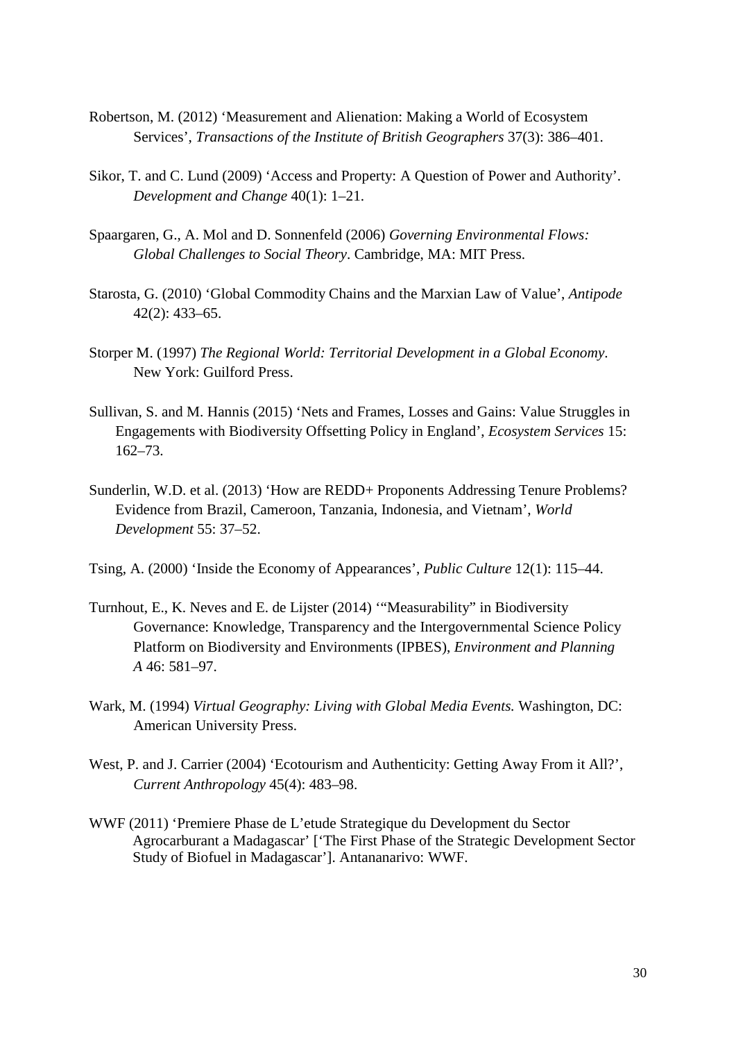- Robertson, M. (2012) 'Measurement and Alienation: Making a World of Ecosystem Services', *Transactions of the Institute of British Geographers* 37(3): 386–401.
- Sikor, T. and C. Lund (2009) 'Access and Property: A Question of Power and Authority'. *Development and Change* 40(1): 1–21.
- Spaargaren, G., A. Mol and D. Sonnenfeld (2006) *Governing Environmental Flows: Global Challenges to Social Theory*. Cambridge, MA: MIT Press.
- Starosta, G. (2010) 'Global Commodity Chains and the Marxian Law of Value', *Antipode* 42(2): 433–65.
- Storper M. (1997) *The Regional World: Territorial Development in a Global Economy*. New York: Guilford Press.
- Sullivan, S. and M. Hannis (2015) 'Nets and Frames, Losses and Gains: Value Struggles in Engagements with Biodiversity Offsetting Policy in England', *Ecosystem Services* 15: 162–73.
- Sunderlin, W.D. et al. (2013) 'How are REDD+ Proponents Addressing Tenure Problems? Evidence from Brazil, Cameroon, Tanzania, Indonesia, and Vietnam', *World Development* 55: 37–52.
- Tsing, A. (2000) 'Inside the Economy of Appearances', *Public Culture* 12(1): 115–44.
- Turnhout, E., K. Neves and E. de Lijster (2014) '"Measurability" in Biodiversity Governance: Knowledge, Transparency and the Intergovernmental Science Policy Platform on Biodiversity and Environments (IPBES), *Environment and Planning A* 46: 581–97.
- Wark, M. (1994) *Virtual Geography: Living with Global Media Events.* Washington, DC: American University Press.
- West, P. and J. Carrier (2004) 'Ecotourism and Authenticity: Getting Away From it All?', *Current Anthropology* 45(4): 483–98.
- WWF (2011) 'Premiere Phase de L'etude Strategique du Development du Sector Agrocarburant a Madagascar' ['The First Phase of the Strategic Development Sector Study of Biofuel in Madagascar']. Antananarivo: WWF.